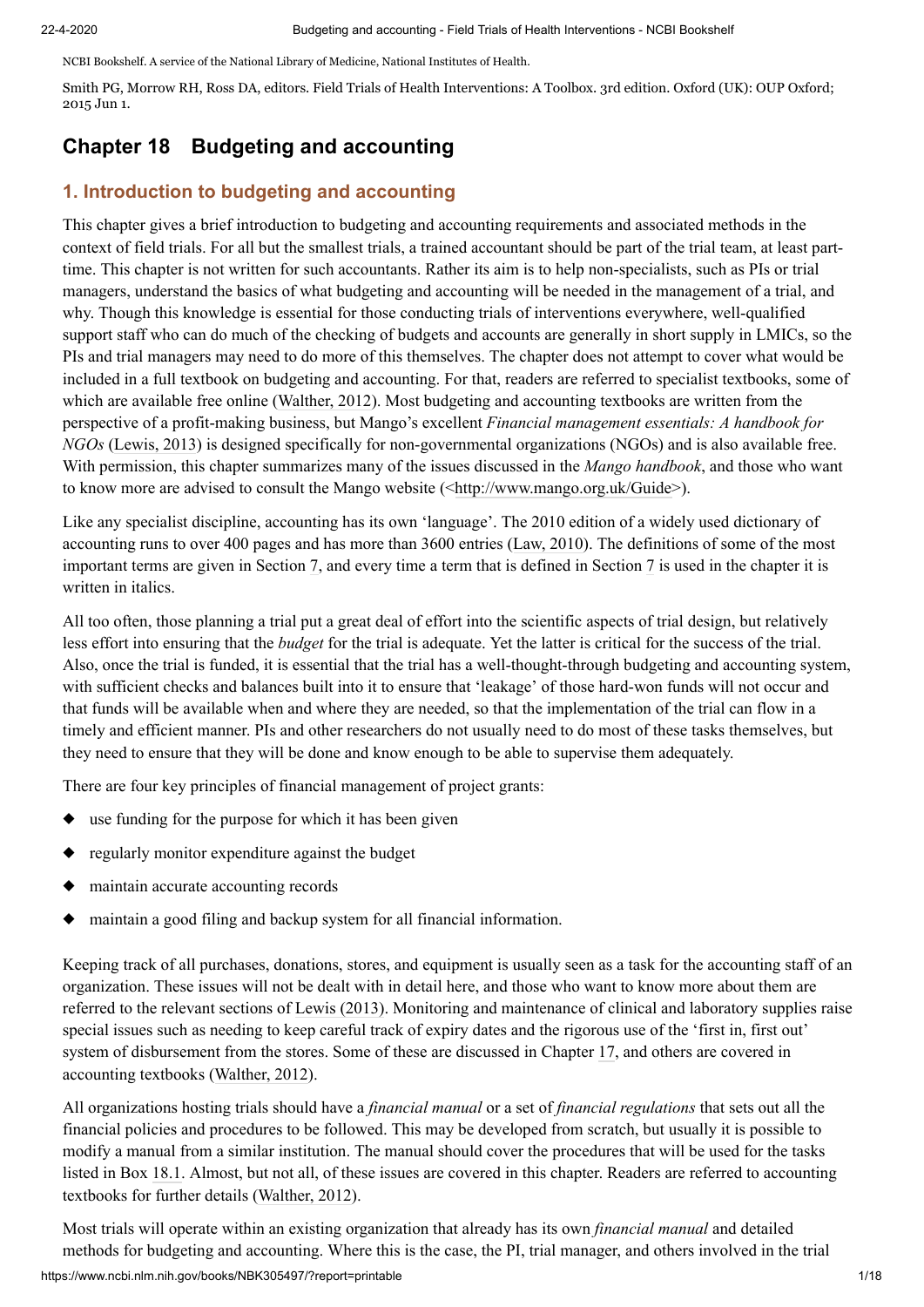NCBI Bookshelf. A service of the National Library of Medicine, National Institutes of Health.

Smith PG, Morrow RH, Ross DA, editors. Field Trials of Health Interventions: A Toolbox. 3rd edition. Oxford (UK): OUP Oxford; 2015 Jun 1.

# **Chapter 18 Budgeting and accounting**

# **1. Introduction to budgeting and accounting**

This chapter gives a brief introduction to budgeting and accounting requirements and associated methods in the context of field trials. For all but the smallest trials, a trained accountant should be part of the trial team, at least parttime. This chapter is not written for such accountants. Rather its aim is to help non-specialists, such as PIs or trial managers, understand the basics of what budgeting and accounting will be needed in the management of a trial, and why. Though this knowledge is essential for those conducting trials of interventions everywhere, well-qualified support staff who can do much of the checking of budgets and accounts are generally in short supply in LMICs, so the PIs and trial managers may need to do more of this themselves. The chapter does not attempt to cover what would be included in a full textbook on budgeting and accounting. For that, readers are referred to specialist textbooks, some of which are available free online (Walther, 2012). Most budgeting and accounting textbooks are written from the perspective of a profit-making business, but Mango's excellent *Financial management essentials: A handbook for NGOs* (Lewis, 2013) is designed specifically for non-governmental organizations (NGOs) and is also available free. With permission, this chapter summarizes many of the issues discussed in the *Mango handbook*, and those who want to know more are advised to consult the Mango website ([<http://www.mango.org.uk/Guide>](http://www.mango.org.uk/Guide)).

Like any specialist discipline, accounting has its own 'language'. The 2010 edition of a widely used dictionary of accounting runs to over 400 pages and has more than 3600 entries (Law, 2010). The definitions of some of the most important terms are given in Section [7](#page-8-0), and every time a term that is defined in Section [7](#page-8-0) is used in the chapter it is written in italics.

All too often, those planning a trial put a great deal of effort into the scientific aspects of trial design, but relatively less effort into ensuring that the *budget* for the trial is adequate. Yet the latter is critical for the success of the trial. Also, once the trial is funded, it is essential that the trial has a well-thought-through budgeting and accounting system, with sufficient checks and balances built into it to ensure that 'leakage' of those hard-won funds will not occur and that funds will be available when and where they are needed, so that the implementation of the trial can flow in a timely and efficient manner. PIs and other researchers do not usually need to do most of these tasks themselves, but they need to ensure that they will be done and know enough to be able to supervise them adequately.

There are four key principles of financial management of project grants:

- ◆ use funding for the purpose for which it has been given
- ◆ regularly monitor expenditure against the budget
- ◆ maintain accurate accounting records
- ◆ maintain a good filing and backup system for all financial information.

Keeping track of all purchases, donations, stores, and equipment is usually seen as a task for the accounting staff of an organization. These issues will not be dealt with in detail here, and those who want to know more about them are referred to the relevant sections of Lewis (2013). Monitoring and maintenance of clinical and laboratory supplies raise special issues such as needing to keep careful track of expiry dates and the rigorous use of the 'first in, first out' system of disbursement from the stores. Some of these are discussed in Chapter [17](https://www.ncbi.nlm.nih.gov/books/n/wt525646/chapter-17/), and others are covered in accounting textbooks (Walther, 2012).

All organizations hosting trials should have a *financial manual* or a set of *financial regulations* that sets out all the financial policies and procedures to be followed. This may be developed from scratch, but usually it is possible to modify a manual from a similar institution. The manual should cover the procedures that will be used for the tasks listed in Box [18.1.](https://www.ncbi.nlm.nih.gov/books/NBK305497/box/chapter-18-boxedMatter-1/?report=objectonly) Almost, but not all, of these issues are covered in this chapter. Readers are referred to accounting textbooks for further details (Walther, 2012).

https://www.ncbi.nlm.nih.gov/books/NBK305497/?report=printable 1/18 Most trials will operate within an existing organization that already has its own *financial manual* and detailed methods for budgeting and accounting. Where this is the case, the PI, trial manager, and others involved in the trial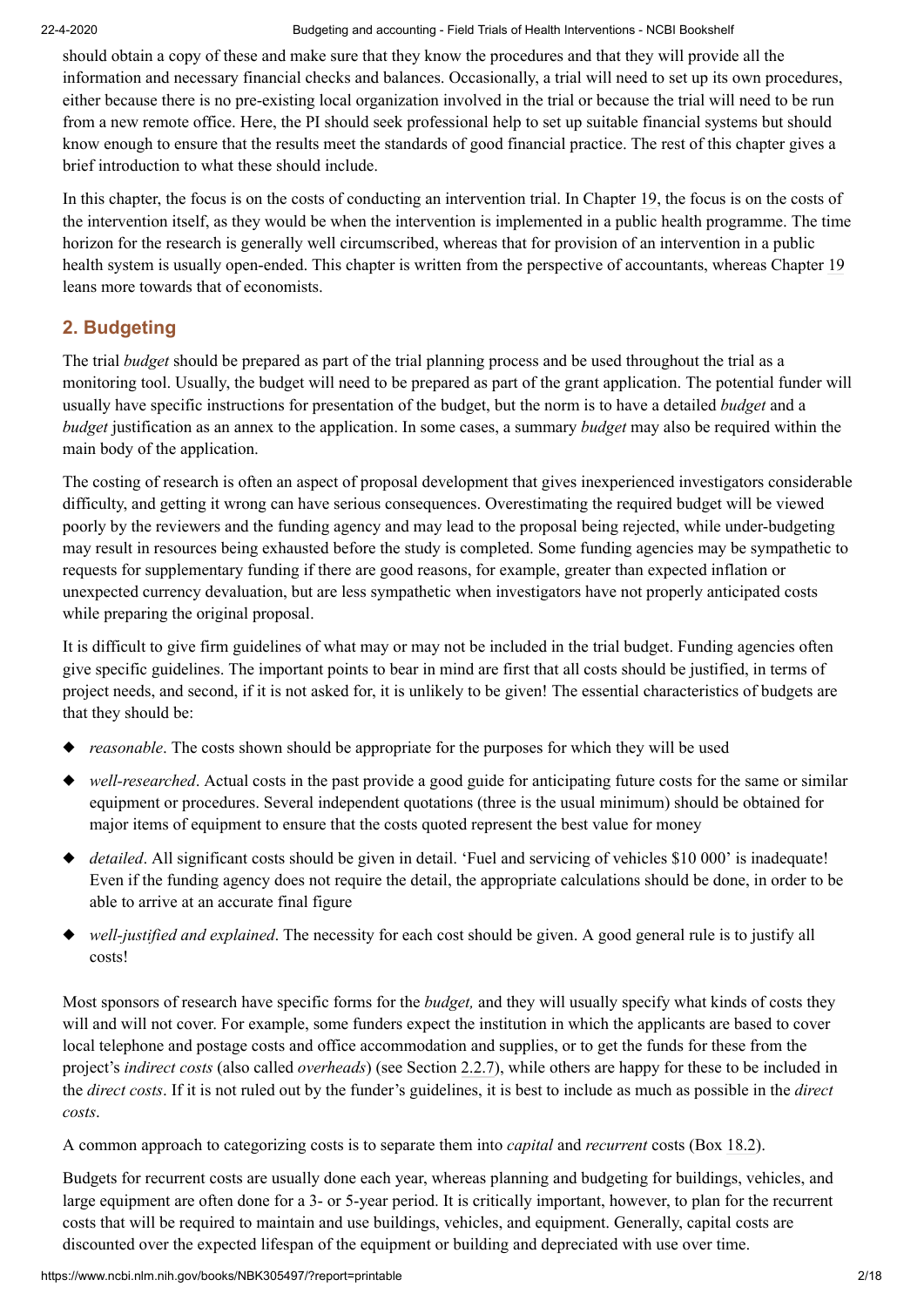should obtain a copy of these and make sure that they know the procedures and that they will provide all the information and necessary financial checks and balances. Occasionally, a trial will need to set up its own procedures, either because there is no pre-existing local organization involved in the trial or because the trial will need to be run from a new remote office. Here, the PI should seek professional help to set up suitable financial systems but should know enough to ensure that the results meet the standards of good financial practice. The rest of this chapter gives a brief introduction to what these should include.

In this chapter, the focus is on the costs of conducting an intervention trial. In Chapter [19](https://www.ncbi.nlm.nih.gov/books/n/wt525646/chapter-19/), the focus is on the costs of the intervention itself, as they would be when the intervention is implemented in a public health programme. The time horizon for the research is generally well circumscribed, whereas that for provision of an intervention in a public health system is usually open-ended. This chapter is written from the perspective of accountants, whereas Chapter [19](https://www.ncbi.nlm.nih.gov/books/n/wt525646/chapter-19/) leans more towards that of economists.

# **2. Budgeting**

The trial *budget* should be prepared as part of the trial planning process and be used throughout the trial as a monitoring tool. Usually, the budget will need to be prepared as part of the grant application. The potential funder will usually have specific instructions for presentation of the budget, but the norm is to have a detailed *budget* and a *budget* justification as an annex to the application. In some cases, a summary *budget* may also be required within the main body of the application.

The costing of research is often an aspect of proposal development that gives inexperienced investigators considerable difficulty, and getting it wrong can have serious consequences. Overestimating the required budget will be viewed poorly by the reviewers and the funding agency and may lead to the proposal being rejected, while under-budgeting may result in resources being exhausted before the study is completed. Some funding agencies may be sympathetic to requests for supplementary funding if there are good reasons, for example, greater than expected inflation or unexpected currency devaluation, but are less sympathetic when investigators have not properly anticipated costs while preparing the original proposal.

It is difficult to give firm guidelines of what may or may not be included in the trial budget. Funding agencies often give specific guidelines. The important points to bear in mind are first that all costs should be justified, in terms of project needs, and second, if it is not asked for, it is unlikely to be given! The essential characteristics of budgets are that they should be:

- ◆ *reasonable*. The costs shown should be appropriate for the purposes for which they will be used
- ◆ *well-researched*. Actual costs in the past provide a good guide for anticipating future costs for the same or similar equipment or procedures. Several independent quotations (three is the usual minimum) should be obtained for major items of equipment to ensure that the costs quoted represent the best value for money
- ◆ *detailed*. All significant costs should be given in detail. 'Fuel and servicing of vehicles \$10 000' is inadequate! Even if the funding agency does not require the detail, the appropriate calculations should be done, in order to be able to arrive at an accurate final figure
- ◆ *well-justified and explained*. The necessity for each cost should be given. A good general rule is to justify all costs!

Most sponsors of research have specific forms for the *budget,* and they will usually specify what kinds of costs they will and will not cover. For example, some funders expect the institution in which the applicants are based to cover local telephone and postage costs and office accommodation and supplies, or to get the funds for these from the project's *indirect costs* (also called *overheads*) (see Section [2.2.7\)](#page-3-0), while others are happy for these to be included in the *direct costs*. If it is not ruled out by the funder's guidelines, it is best to include as much as possible in the *direct costs*.

A common approach to categorizing costs is to separate them into *capital* and *recurrent* costs (Box [18.2](https://www.ncbi.nlm.nih.gov/books/NBK305497/box/chapter-18-boxedMatter-2/?report=objectonly)).

Budgets for recurrent costs are usually done each year, whereas planning and budgeting for buildings, vehicles, and large equipment are often done for a 3- or 5-year period. It is critically important, however, to plan for the recurrent costs that will be required to maintain and use buildings, vehicles, and equipment. Generally, capital costs are discounted over the expected lifespan of the equipment or building and depreciated with use over time.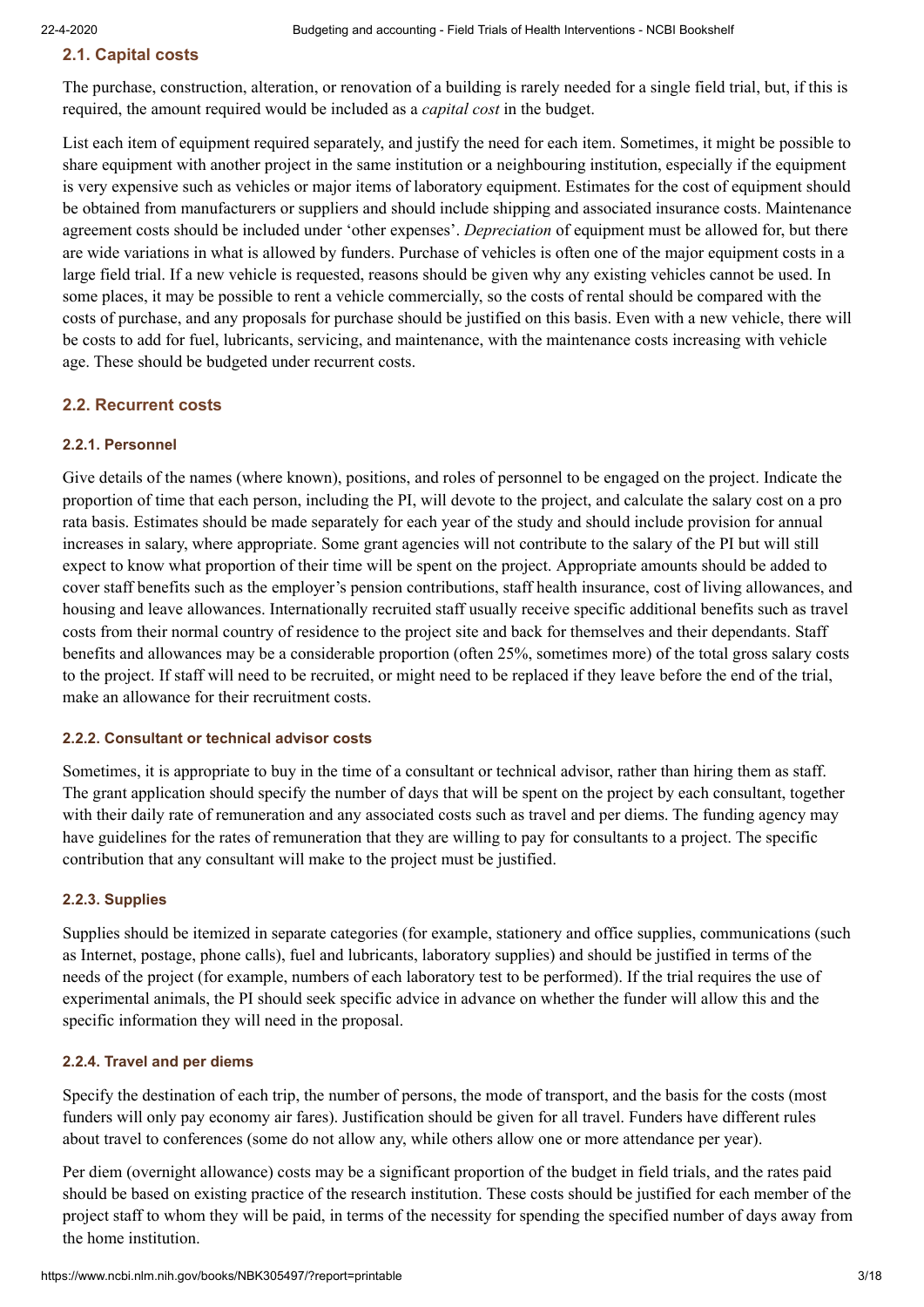# **2.1. Capital costs**

The purchase, construction, alteration, or renovation of a building is rarely needed for a single field trial, but, if this is required, the amount required would be included as a *capital cost* in the budget.

List each item of equipment required separately, and justify the need for each item. Sometimes, it might be possible to share equipment with another project in the same institution or a neighbouring institution, especially if the equipment is very expensive such as vehicles or major items of laboratory equipment. Estimates for the cost of equipment should be obtained from manufacturers or suppliers and should include shipping and associated insurance costs. Maintenance agreement costs should be included under 'other expenses'. *Depreciation* of equipment must be allowed for, but there are wide variations in what is allowed by funders. Purchase of vehicles is often one of the major equipment costs in a large field trial. If a new vehicle is requested, reasons should be given why any existing vehicles cannot be used. In some places, it may be possible to rent a vehicle commercially, so the costs of rental should be compared with the costs of purchase, and any proposals for purchase should be justified on this basis. Even with a new vehicle, there will be costs to add for fuel, lubricants, servicing, and maintenance, with the maintenance costs increasing with vehicle age. These should be budgeted under recurrent costs.

# **2.2. Recurrent costs**

### **2.2.1. Personnel**

Give details of the names (where known), positions, and roles of personnel to be engaged on the project. Indicate the proportion of time that each person, including the PI, will devote to the project, and calculate the salary cost on a pro rata basis. Estimates should be made separately for each year of the study and should include provision for annual increases in salary, where appropriate. Some grant agencies will not contribute to the salary of the PI but will still expect to know what proportion of their time will be spent on the project. Appropriate amounts should be added to cover staff benefits such as the employer's pension contributions, staff health insurance, cost of living allowances, and housing and leave allowances. Internationally recruited staff usually receive specific additional benefits such as travel costs from their normal country of residence to the project site and back for themselves and their dependants. Staff benefits and allowances may be a considerable proportion (often 25%, sometimes more) of the total gross salary costs to the project. If staff will need to be recruited, or might need to be replaced if they leave before the end of the trial, make an allowance for their recruitment costs.

### **2.2.2. Consultant or technical advisor costs**

Sometimes, it is appropriate to buy in the time of a consultant or technical advisor, rather than hiring them as staff. The grant application should specify the number of days that will be spent on the project by each consultant, together with their daily rate of remuneration and any associated costs such as travel and per diems. The funding agency may have guidelines for the rates of remuneration that they are willing to pay for consultants to a project. The specific contribution that any consultant will make to the project must be justified.

### **2.2.3. Supplies**

Supplies should be itemized in separate categories (for example, stationery and office supplies, communications (such as Internet, postage, phone calls), fuel and lubricants, laboratory supplies) and should be justified in terms of the needs of the project (for example, numbers of each laboratory test to be performed). If the trial requires the use of experimental animals, the PI should seek specific advice in advance on whether the funder will allow this and the specific information they will need in the proposal.

### **2.2.4. Travel and per diems**

Specify the destination of each trip, the number of persons, the mode of transport, and the basis for the costs (most funders will only pay economy air fares). Justification should be given for all travel. Funders have different rules about travel to conferences (some do not allow any, while others allow one or more attendance per year).

Per diem (overnight allowance) costs may be a significant proportion of the budget in field trials, and the rates paid should be based on existing practice of the research institution. These costs should be justified for each member of the project staff to whom they will be paid, in terms of the necessity for spending the specified number of days away from the home institution.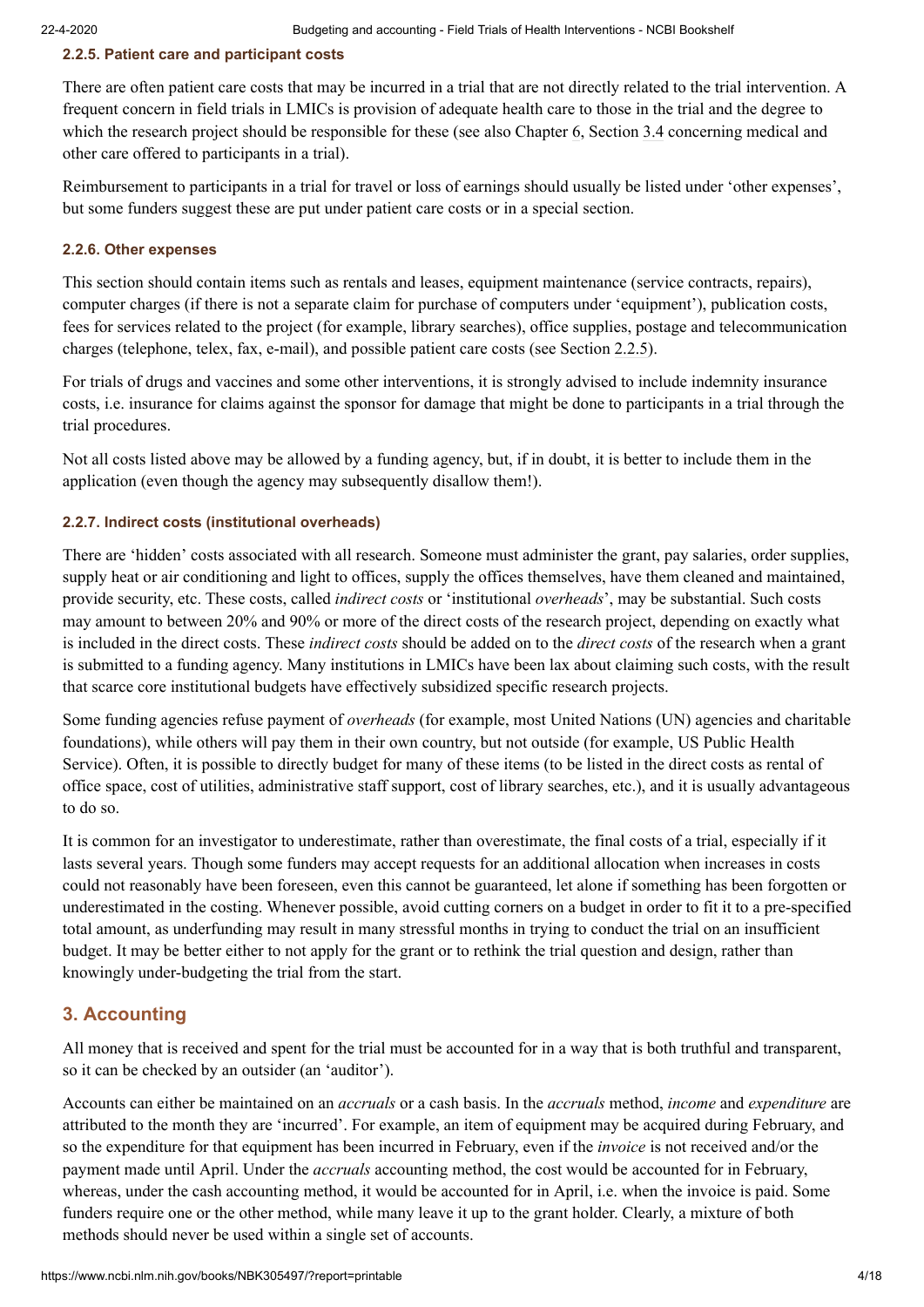#### <span id="page-3-1"></span>**2.2.5. Patient care and participant costs**

There are often patient care costs that may be incurred in a trial that are not directly related to the trial intervention. A frequent concern in field trials in LMICs is provision of adequate health care to those in the trial and the degree to which the research project should be responsible for these (see also Chapter [6](https://www.ncbi.nlm.nih.gov/books/n/wt525646/chapter-6/), Section [3.4](#page-6-0) concerning medical and other care offered to participants in a trial).

Reimbursement to participants in a trial for travel or loss of earnings should usually be listed under 'other expenses', but some funders suggest these are put under patient care costs or in a special section.

#### **2.2.6. Other expenses**

This section should contain items such as rentals and leases, equipment maintenance (service contracts, repairs), computer charges (if there is not a separate claim for purchase of computers under 'equipment'), publication costs, fees for services related to the project (for example, library searches), office supplies, postage and telecommunication charges (telephone, telex, fax, e-mail), and possible patient care costs (see Section [2.2.5\)](#page-3-1).

For trials of drugs and vaccines and some other interventions, it is strongly advised to include indemnity insurance costs, i.e. insurance for claims against the sponsor for damage that might be done to participants in a trial through the trial procedures.

Not all costs listed above may be allowed by a funding agency, but, if in doubt, it is better to include them in the application (even though the agency may subsequently disallow them!).

#### <span id="page-3-0"></span>**2.2.7. Indirect costs (institutional overheads)**

There are 'hidden' costs associated with all research. Someone must administer the grant, pay salaries, order supplies, supply heat or air conditioning and light to offices, supply the offices themselves, have them cleaned and maintained, provide security, etc. These costs, called *indirect costs* or 'institutional *overheads*', may be substantial. Such costs may amount to between 20% and 90% or more of the direct costs of the research project, depending on exactly what is included in the direct costs. These *indirect costs* should be added on to the *direct costs* of the research when a grant is submitted to a funding agency. Many institutions in LMICs have been lax about claiming such costs, with the result that scarce core institutional budgets have effectively subsidized specific research projects.

Some funding agencies refuse payment of *overheads* (for example, most United Nations (UN) agencies and charitable foundations), while others will pay them in their own country, but not outside (for example, US Public Health Service). Often, it is possible to directly budget for many of these items (to be listed in the direct costs as rental of office space, cost of utilities, administrative staff support, cost of library searches, etc.), and it is usually advantageous to do so.

It is common for an investigator to underestimate, rather than overestimate, the final costs of a trial, especially if it lasts several years. Though some funders may accept requests for an additional allocation when increases in costs could not reasonably have been foreseen, even this cannot be guaranteed, let alone if something has been forgotten or underestimated in the costing. Whenever possible, avoid cutting corners on a budget in order to fit it to a pre-specified total amount, as underfunding may result in many stressful months in trying to conduct the trial on an insufficient budget. It may be better either to not apply for the grant or to rethink the trial question and design, rather than knowingly under-budgeting the trial from the start.

# **3. Accounting**

All money that is received and spent for the trial must be accounted for in a way that is both truthful and transparent, so it can be checked by an outsider (an 'auditor').

Accounts can either be maintained on an *accruals* or a cash basis. In the *accruals* method, *income* and *expenditure* are attributed to the month they are 'incurred'. For example, an item of equipment may be acquired during February, and so the expenditure for that equipment has been incurred in February, even if the *invoice* is not received and/or the payment made until April. Under the *accruals* accounting method, the cost would be accounted for in February, whereas, under the cash accounting method, it would be accounted for in April, i.e. when the invoice is paid. Some funders require one or the other method, while many leave it up to the grant holder. Clearly, a mixture of both methods should never be used within a single set of accounts.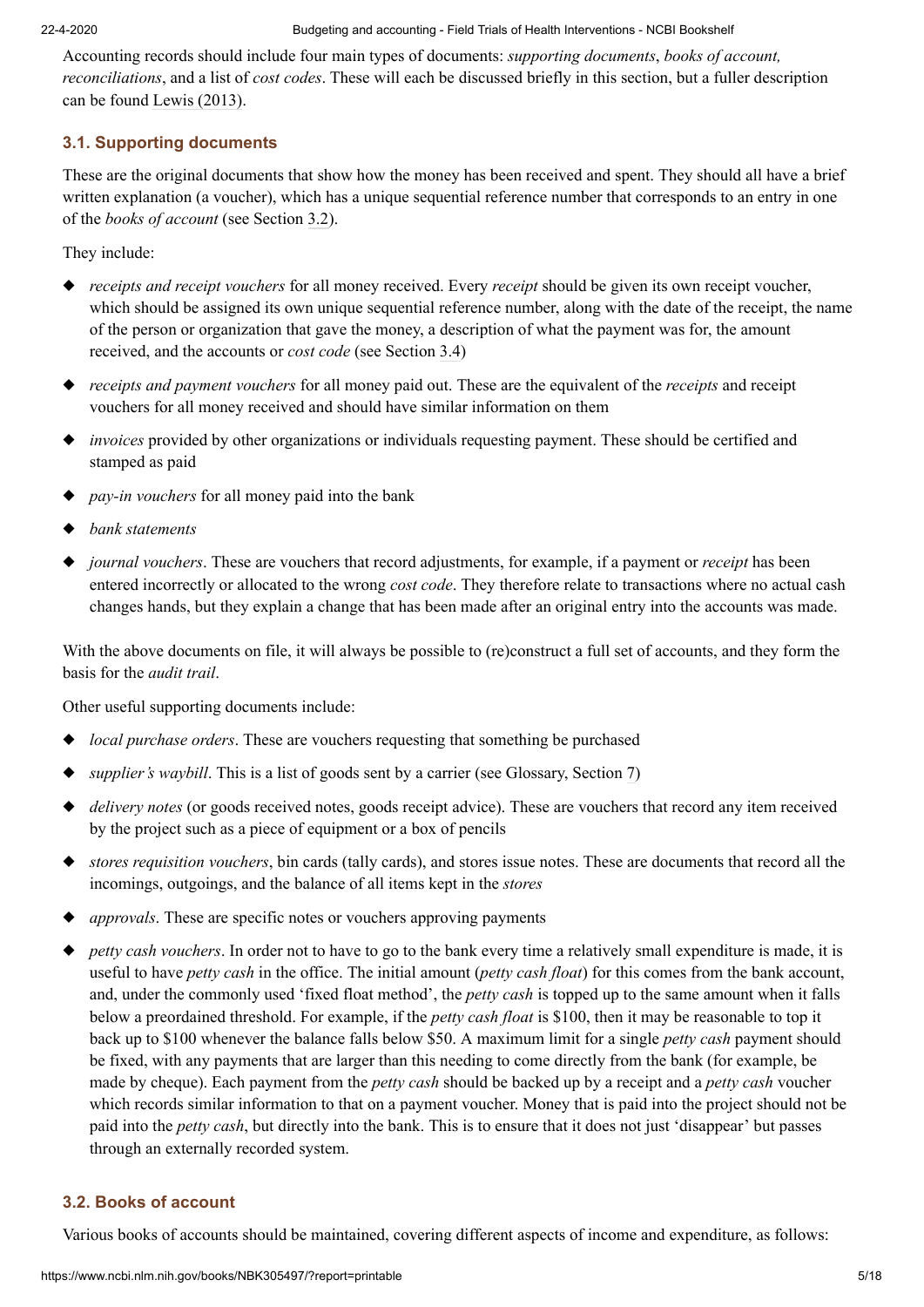Accounting records should include four main types of documents: *supporting documents*, *books of account, reconciliations*, and a list of *cost codes*. These will each be discussed briefly in this section, but a fuller description can be found Lewis (2013).

# **3.1. Supporting documents**

These are the original documents that show how the money has been received and spent. They should all have a brief written explanation (a voucher), which has a unique sequential reference number that corresponds to an entry in one of the *books of account* (see Section [3.2\)](#page-4-0).

They include:

- ◆ *receipts and receipt vouchers* for all money received. Every *receipt* should be given its own receipt voucher, which should be assigned its own unique sequential reference number, along with the date of the receipt, the name of the person or organization that gave the money, a description of what the payment was for, the amount received, and the accounts or *cost code* (see Section [3.4\)](#page-6-0)
- ◆ *receipts and payment vouchers* for all money paid out. These are the equivalent of the *receipts* and receipt vouchers for all money received and should have similar information on them
- ◆ *invoices* provided by other organizations or individuals requesting payment. These should be certified and stamped as paid
- ◆ *pay-in vouchers* for all money paid into the bank
- ◆ *bank statements*
- ◆ *journal vouchers*. These are vouchers that record adjustments, for example, if a payment or *receipt* has been entered incorrectly or allocated to the wrong *cost code*. They therefore relate to transactions where no actual cash changes hands, but they explain a change that has been made after an original entry into the accounts was made.

With the above documents on file, it will always be possible to (re)construct a full set of accounts, and they form the basis for the *audit trail*.

Other useful supporting documents include:

- ◆ *local purchase orders*. These are vouchers requesting that something be purchased
- ◆ *supplier's waybill*. This is a list of goods sent by a carrier (see Glossary, Section [7\)](#page-8-0)
- ◆ *delivery notes* (or goods received notes, goods receipt advice). These are vouchers that record any item received by the project such as a piece of equipment or a box of pencils
- ◆ *stores requisition vouchers*, bin cards (tally cards), and stores issue notes. These are documents that record all the incomings, outgoings, and the balance of all items kept in the *stores*
- ◆ *approvals*. These are specific notes or vouchers approving payments
- ◆ *petty cash vouchers*. In order not to have to go to the bank every time a relatively small expenditure is made, it is useful to have *petty cash* in the office. The initial amount (*petty cash float*) for this comes from the bank account, and, under the commonly used 'fixed float method', the *petty cash* is topped up to the same amount when it falls below a preordained threshold. For example, if the *petty cash float* is \$100, then it may be reasonable to top it back up to \$100 whenever the balance falls below \$50. A maximum limit for a single *petty cash* payment should be fixed, with any payments that are larger than this needing to come directly from the bank (for example, be made by cheque). Each payment from the *petty cash* should be backed up by a receipt and a *petty cash* voucher which records similar information to that on a payment voucher. Money that is paid into the project should not be paid into the *petty cash*, but directly into the bank. This is to ensure that it does not just 'disappear' but passes through an externally recorded system.

# <span id="page-4-0"></span>**3.2. Books of account**

Various books of accounts should be maintained, covering different aspects of income and expenditure, as follows: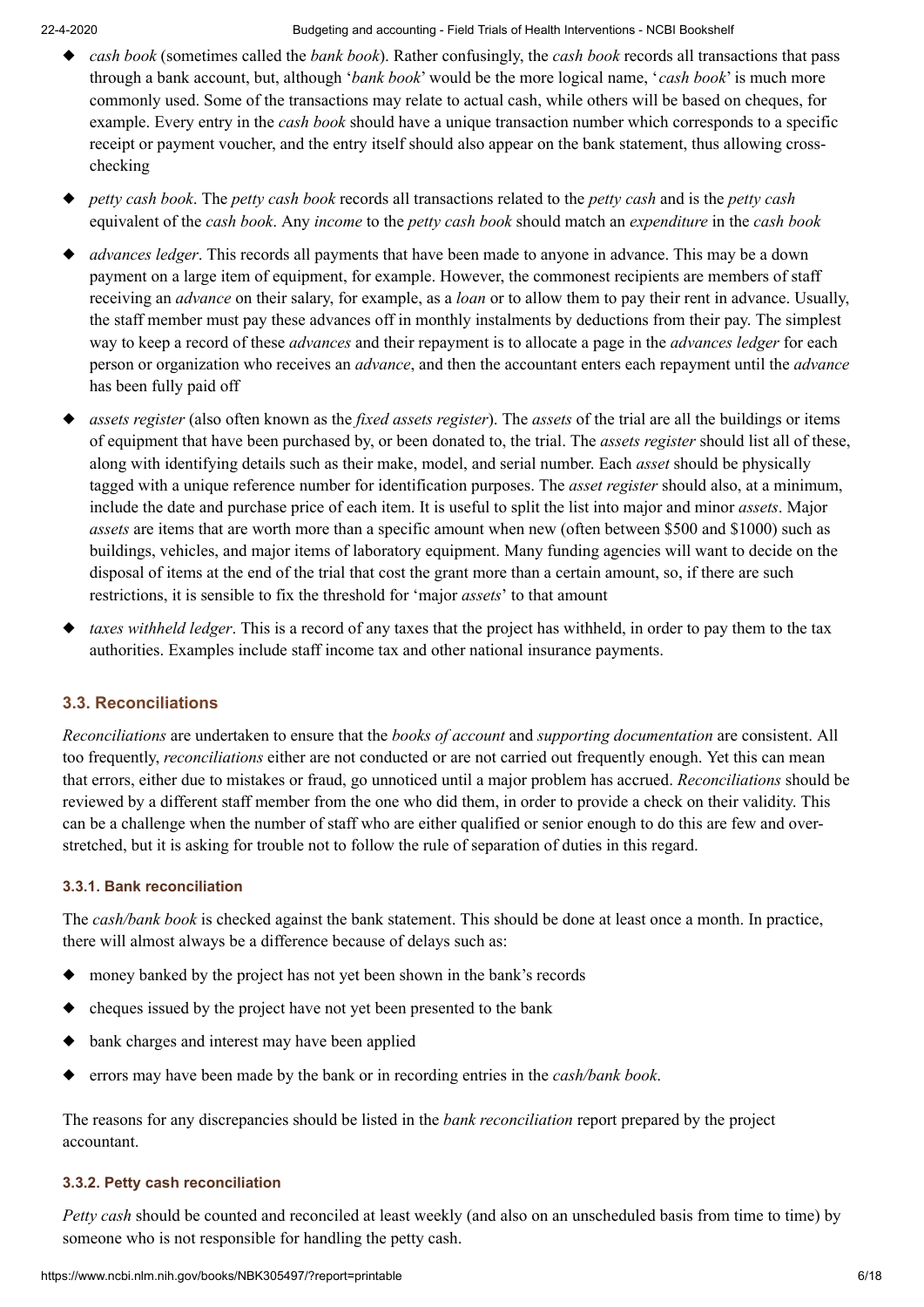- ◆ *cash book* (sometimes called the *bank book*). Rather confusingly, the *cash book* records all transactions that pass through a bank account, but, although '*bank book*' would be the more logical name, '*cash book*' is much more commonly used. Some of the transactions may relate to actual cash, while others will be based on cheques, for example. Every entry in the *cash book* should have a unique transaction number which corresponds to a specific receipt or payment voucher, and the entry itself should also appear on the bank statement, thus allowing crosschecking
- ◆ *petty cash book*. The *petty cash book* records all transactions related to the *petty cash* and is the *petty cash* equivalent of the *cash book*. Any *income* to the *petty cash book* should match an *expenditure* in the *cash book*
- ◆ *advances ledger*. This records all payments that have been made to anyone in advance. This may be a down payment on a large item of equipment, for example. However, the commonest recipients are members of staff receiving an *advance* on their salary, for example, as a *loan* or to allow them to pay their rent in advance. Usually, the staff member must pay these advances off in monthly instalments by deductions from their pay. The simplest way to keep a record of these *advances* and their repayment is to allocate a page in the *advances ledger* for each person or organization who receives an *advance*, and then the accountant enters each repayment until the *advance* has been fully paid off
- ◆ *assets register* (also often known as the *fixed assets register*). The *assets* of the trial are all the buildings or items of equipment that have been purchased by, or been donated to, the trial. The *assets register* should list all of these, along with identifying details such as their make, model, and serial number. Each *asset* should be physically tagged with a unique reference number for identification purposes. The *asset register* should also, at a minimum, include the date and purchase price of each item. It is useful to split the list into major and minor *assets*. Major *assets* are items that are worth more than a specific amount when new (often between \$500 and \$1000) such as buildings, vehicles, and major items of laboratory equipment. Many funding agencies will want to decide on the disposal of items at the end of the trial that cost the grant more than a certain amount, so, if there are such restrictions, it is sensible to fix the threshold for 'major *assets*' to that amount
- ◆ *taxes withheld ledger*. This is a record of any taxes that the project has withheld, in order to pay them to the tax authorities. Examples include staff income tax and other national insurance payments.

# **3.3. Reconciliations**

*Reconciliations* are undertaken to ensure that the *books of account* and *supporting documentation* are consistent. All too frequently, *reconciliations* either are not conducted or are not carried out frequently enough. Yet this can mean that errors, either due to mistakes or fraud, go unnoticed until a major problem has accrued. *Reconciliations* should be reviewed by a different staff member from the one who did them, in order to provide a check on their validity. This can be a challenge when the number of staff who are either qualified or senior enough to do this are few and overstretched, but it is asking for trouble not to follow the rule of separation of duties in this regard.

# **3.3.1. Bank reconciliation**

The *cash/bank book* is checked against the bank statement. This should be done at least once a month. In practice, there will almost always be a difference because of delays such as:

- ◆ money banked by the project has not yet been shown in the bank's records
- ◆ cheques issued by the project have not yet been presented to the bank
- ◆ bank charges and interest may have been applied
- ◆ errors may have been made by the bank or in recording entries in the *cash/bank book*.

The reasons for any discrepancies should be listed in the *bank reconciliation* report prepared by the project accountant.

### **3.3.2. Petty cash reconciliation**

*Petty cash* should be counted and reconciled at least weekly (and also on an unscheduled basis from time to time) by someone who is not responsible for handling the petty cash.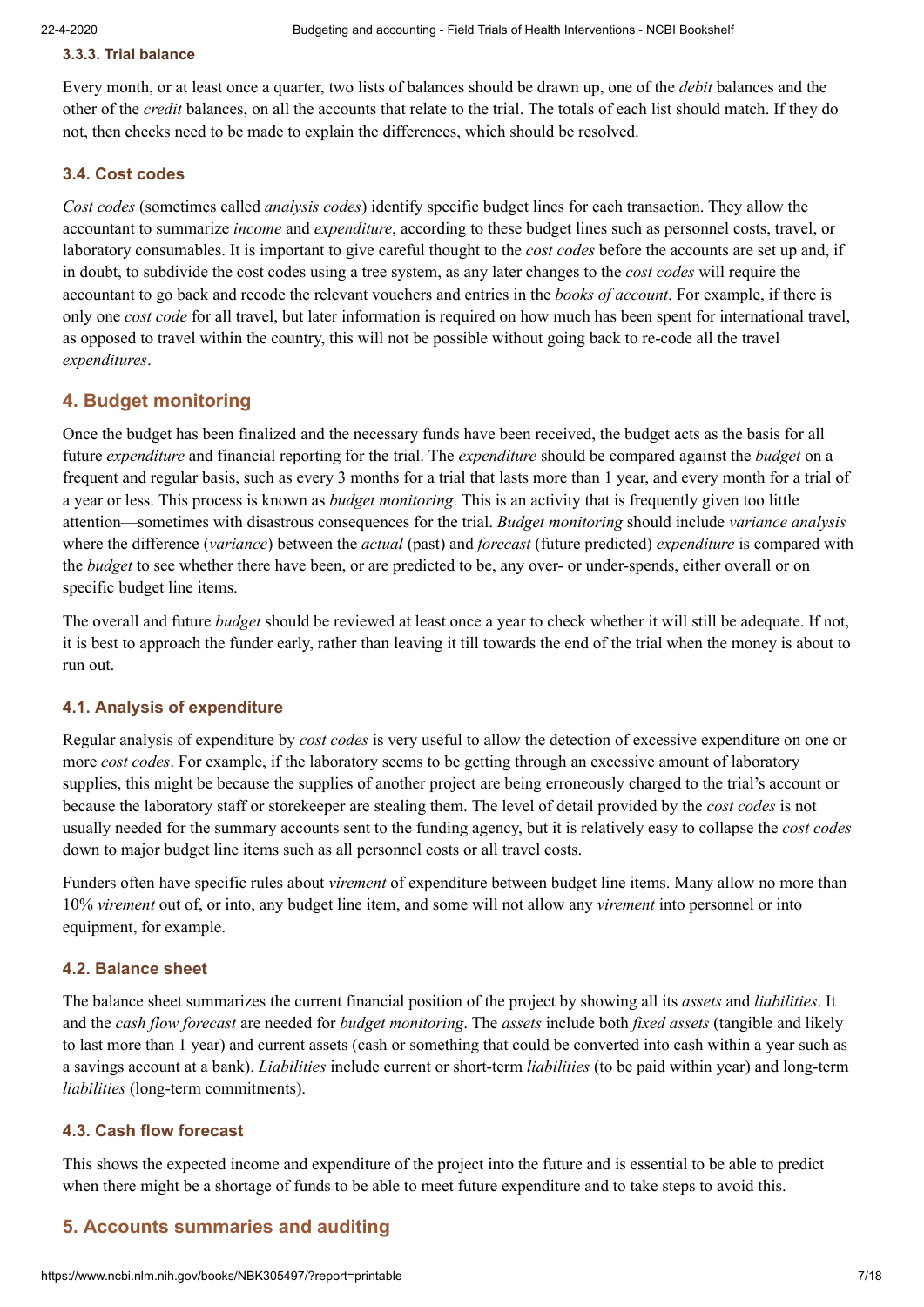#### **3.3.3. Trial balance**

Every month, or at least once a quarter, two lists of balances should be drawn up, one of the *debit* balances and the other of the *credit* balances, on all the accounts that relate to the trial. The totals of each list should match. If they do not, then checks need to be made to explain the differences, which should be resolved.

#### <span id="page-6-0"></span>**3.4. Cost codes**

*Cost codes* (sometimes called *analysis codes*) identify specific budget lines for each transaction. They allow the accountant to summarize *income* and *expenditure*, according to these budget lines such as personnel costs, travel, or laboratory consumables. It is important to give careful thought to the *cost codes* before the accounts are set up and, if in doubt, to subdivide the cost codes using a tree system, as any later changes to the *cost codes* will require the accountant to go back and recode the relevant vouchers and entries in the *books of account*. For example, if there is only one *cost code* for all travel, but later information is required on how much has been spent for international travel, as opposed to travel within the country, this will not be possible without going back to re-code all the travel *expenditures*.

# **4. Budget monitoring**

Once the budget has been finalized and the necessary funds have been received, the budget acts as the basis for all future *expenditure* and financial reporting for the trial. The *expenditure* should be compared against the *budget* on a frequent and regular basis, such as every 3 months for a trial that lasts more than 1 year, and every month for a trial of a year or less. This process is known as *budget monitoring*. This is an activity that is frequently given too little attention—sometimes with disastrous consequences for the trial. *Budget monitoring* should include *variance analysis* where the difference (*variance*) between the *actual* (past) and *forecast* (future predicted) *expenditure* is compared with the *budget* to see whether there have been, or are predicted to be, any over- or under-spends, either overall or on specific budget line items.

The overall and future *budget* should be reviewed at least once a year to check whether it will still be adequate. If not, it is best to approach the funder early, rather than leaving it till towards the end of the trial when the money is about to run out.

#### **4.1. Analysis of expenditure**

Regular analysis of expenditure by *cost codes* is very useful to allow the detection of excessive expenditure on one or more *cost codes*. For example, if the laboratory seems to be getting through an excessive amount of laboratory supplies, this might be because the supplies of another project are being erroneously charged to the trial's account or because the laboratory staff or storekeeper are stealing them. The level of detail provided by the *cost codes* is not usually needed for the summary accounts sent to the funding agency, but it is relatively easy to collapse the *cost codes* down to major budget line items such as all personnel costs or all travel costs.

Funders often have specific rules about *virement* of expenditure between budget line items. Many allow no more than 10% *virement* out of, or into, any budget line item, and some will not allow any *virement* into personnel or into equipment, for example.

#### **4.2. Balance sheet**

The balance sheet summarizes the current financial position of the project by showing all its *assets* and *liabilities*. It and the *cash flow forecast* are needed for *budget monitoring*. The *assets* include both *fixed assets* (tangible and likely to last more than 1 year) and current assets (cash or something that could be converted into cash within a year such as a savings account at a bank). *Liabilities* include current or short-term *liabilities* (to be paid within year) and long-term *liabilities* (long-term commitments).

#### **4.3. Cash flow forecast**

This shows the expected income and expenditure of the project into the future and is essential to be able to predict when there might be a shortage of funds to be able to meet future expenditure and to take steps to avoid this.

# **5. Accounts summaries and auditing**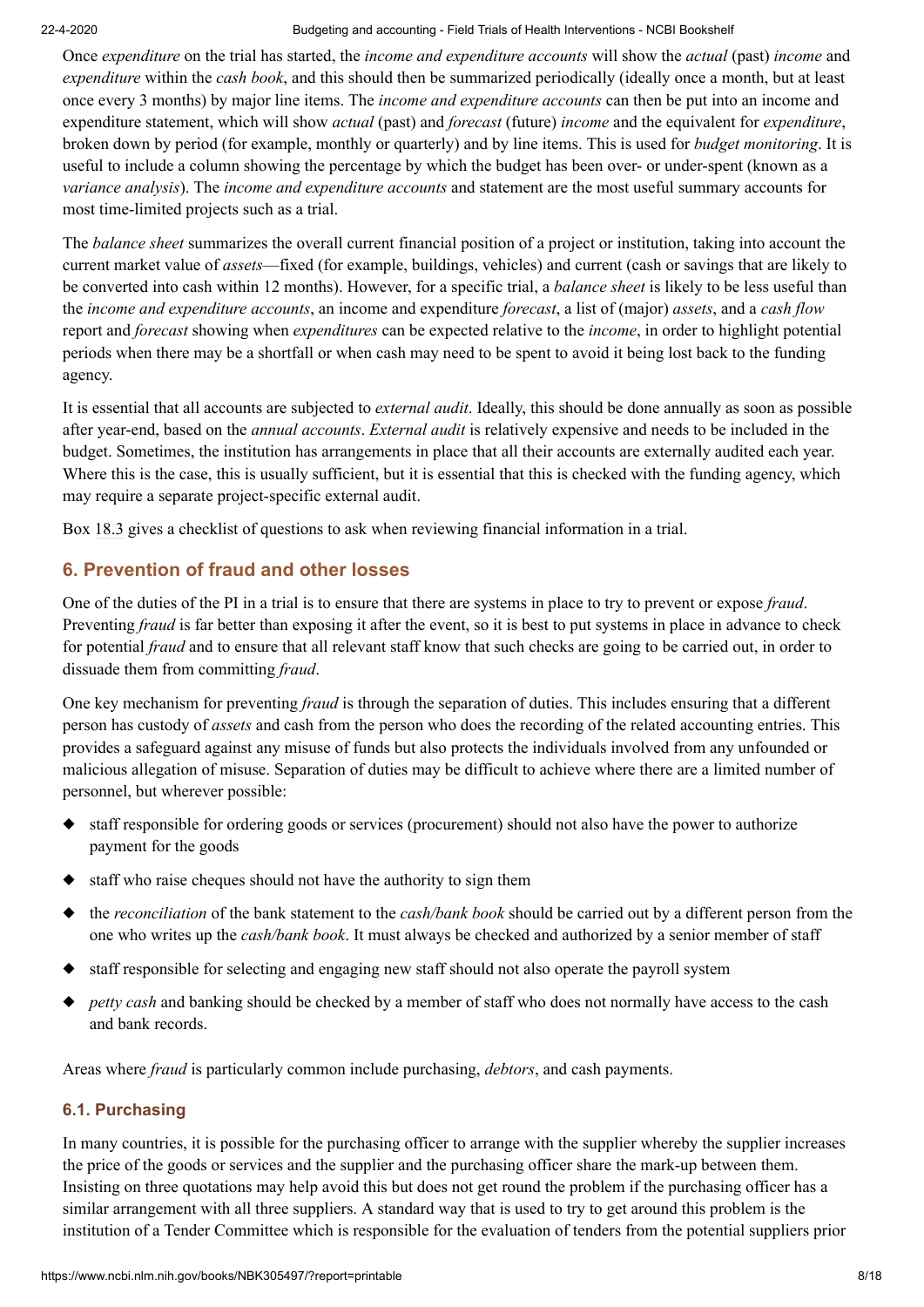Once *expenditure* on the trial has started, the *income and expenditure accounts* will show the *actual* (past) *income* and *expenditure* within the *cash book*, and this should then be summarized periodically (ideally once a month, but at least once every 3 months) by major line items. The *income and expenditure accounts* can then be put into an income and expenditure statement, which will show *actual* (past) and *forecast* (future) *income* and the equivalent for *expenditure*, broken down by period (for example, monthly or quarterly) and by line items. This is used for *budget monitoring*. It is useful to include a column showing the percentage by which the budget has been over- or under-spent (known as a *variance analysis*). The *income and expenditure accounts* and statement are the most useful summary accounts for most time-limited projects such as a trial.

The *balance sheet* summarizes the overall current financial position of a project or institution, taking into account the current market value of *assets*—fixed (for example, buildings, vehicles) and current (cash or savings that are likely to be converted into cash within 12 months). However, for a specific trial, a *balance sheet* is likely to be less useful than the *income and expenditure accounts*, an income and expenditure *forecast*, a list of (major) *assets*, and a *cash flow* report and *forecast* showing when *expenditures* can be expected relative to the *income*, in order to highlight potential periods when there may be a shortfall or when cash may need to be spent to avoid it being lost back to the funding agency.

It is essential that all accounts are subjected to *external audit*. Ideally, this should be done annually as soon as possible after year-end, based on the *annual accounts*. *External audit* is relatively expensive and needs to be included in the budget. Sometimes, the institution has arrangements in place that all their accounts are externally audited each year. Where this is the case, this is usually sufficient, but it is essential that this is checked with the funding agency, which may require a separate project-specific external audit.

Box [18.3](https://www.ncbi.nlm.nih.gov/books/NBK305497/box/chapter-18-boxedMatter-3/?report=objectonly) gives a checklist of questions to ask when reviewing financial information in a trial.

# **6. Prevention of fraud and other losses**

One of the duties of the PI in a trial is to ensure that there are systems in place to try to prevent or expose *fraud*. Preventing *fraud* is far better than exposing it after the event, so it is best to put systems in place in advance to check for potential *fraud* and to ensure that all relevant staff know that such checks are going to be carried out, in order to dissuade them from committing *fraud*.

One key mechanism for preventing *fraud* is through the separation of duties. This includes ensuring that a different person has custody of *assets* and cash from the person who does the recording of the related accounting entries. This provides a safeguard against any misuse of funds but also protects the individuals involved from any unfounded or malicious allegation of misuse. Separation of duties may be difficult to achieve where there are a limited number of personnel, but wherever possible:

- ◆ staff responsible for ordering goods or services (procurement) should not also have the power to authorize payment for the goods
- ◆ staff who raise cheques should not have the authority to sign them
- ◆ the *reconciliation* of the bank statement to the *cash/bank book* should be carried out by a different person from the one who writes up the *cash/bank book*. It must always be checked and authorized by a senior member of staff
- ◆ staff responsible for selecting and engaging new staff should not also operate the payroll system
- ◆ *petty cash* and banking should be checked by a member of staff who does not normally have access to the cash and bank records.

Areas where *fraud* is particularly common include purchasing, *debtors*, and cash payments.

# **6.1. Purchasing**

In many countries, it is possible for the purchasing officer to arrange with the supplier whereby the supplier increases the price of the goods or services and the supplier and the purchasing officer share the mark-up between them. Insisting on three quotations may help avoid this but does not get round the problem if the purchasing officer has a similar arrangement with all three suppliers. A standard way that is used to try to get around this problem is the institution of a Tender Committee which is responsible for the evaluation of tenders from the potential suppliers prior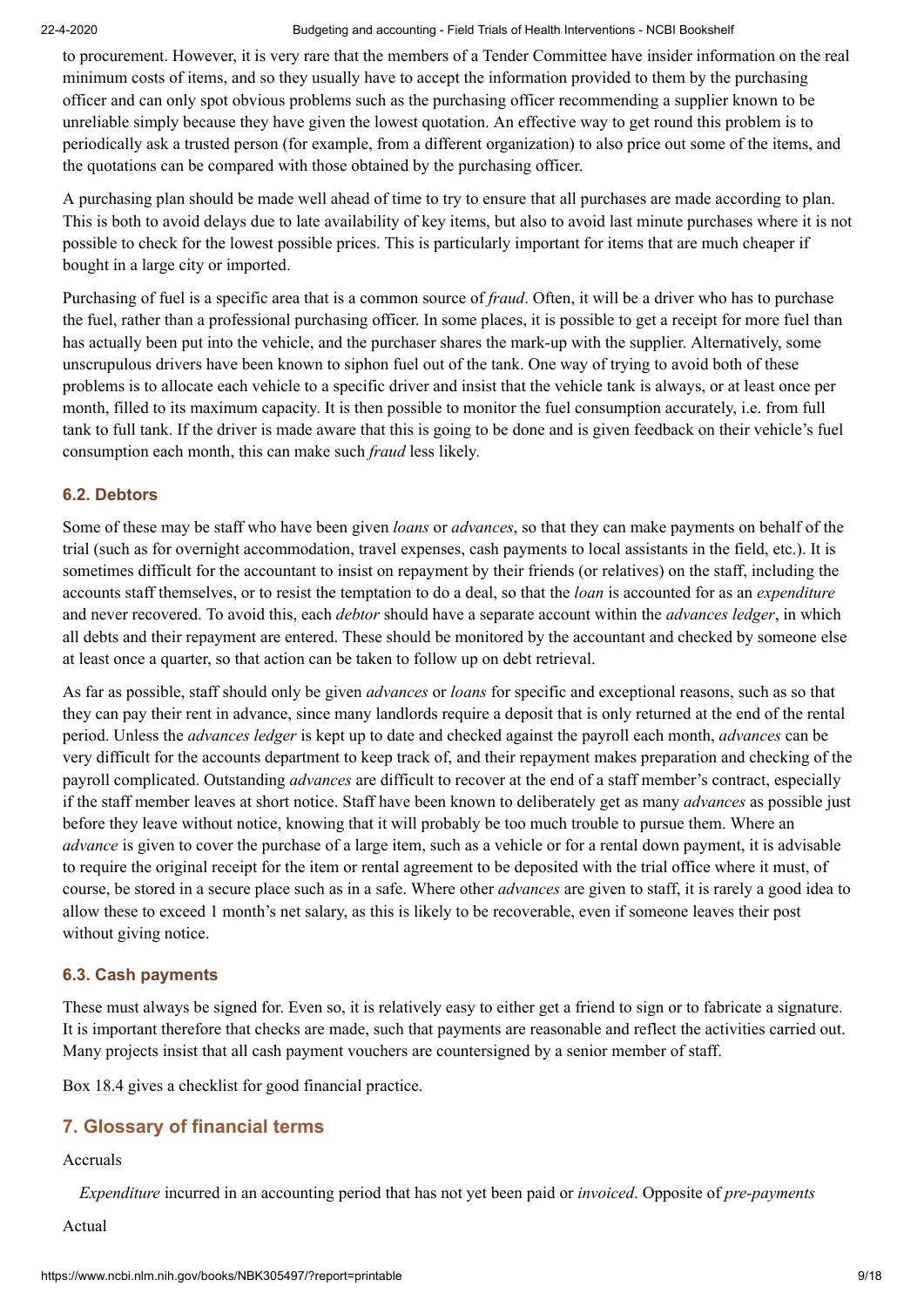to procurement. However, it is very rare that the members of a Tender Committee have insider information on the real minimum costs of items, and so they usually have to accept the information provided to them by the purchasing officer and can only spot obvious problems such as the purchasing officer recommending a supplier known to be unreliable simply because they have given the lowest quotation. An effective way to get round this problem is to periodically ask a trusted person (for example, from a different organization) to also price out some of the items, and the quotations can be compared with those obtained by the purchasing officer.

A purchasing plan should be made well ahead of time to try to ensure that all purchases are made according to plan. This is both to avoid delays due to late availability of key items, but also to avoid last minute purchases where it is not possible to check for the lowest possible prices. This is particularly important for items that are much cheaper if bought in a large city or imported.

Purchasing of fuel is a specific area that is a common source of *fraud*. Often, it will be a driver who has to purchase the fuel, rather than a professional purchasing officer. In some places, it is possible to get a receipt for more fuel than has actually been put into the vehicle, and the purchaser shares the mark-up with the supplier. Alternatively, some unscrupulous drivers have been known to siphon fuel out of the tank. One way of trying to avoid both of these problems is to allocate each vehicle to a specific driver and insist that the vehicle tank is always, or at least once per month, filled to its maximum capacity. It is then possible to monitor the fuel consumption accurately, i.e. from full tank to full tank. If the driver is made aware that this is going to be done and is given feedback on their vehicle's fuel consumption each month, this can make such *fraud* less likely.

## **6.2. Debtors**

Some of these may be staff who have been given *loans* or *advances*, so that they can make payments on behalf of the trial (such as for overnight accommodation, travel expenses, cash payments to local assistants in the field, etc.). It is sometimes difficult for the accountant to insist on repayment by their friends (or relatives) on the staff, including the accounts staff themselves, or to resist the temptation to do a deal, so that the *loan* is accounted for as an *expenditure* and never recovered. To avoid this, each *debtor* should have a separate account within the *advances ledger*, in which all debts and their repayment are entered. These should be monitored by the accountant and checked by someone else at least once a quarter, so that action can be taken to follow up on debt retrieval.

As far as possible, staff should only be given *advances* or *loans* for specific and exceptional reasons, such as so that they can pay their rent in advance, since many landlords require a deposit that is only returned at the end of the rental period. Unless the *advances ledger* is kept up to date and checked against the payroll each month, *advances* can be very difficult for the accounts department to keep track of, and their repayment makes preparation and checking of the payroll complicated. Outstanding *advances* are difficult to recover at the end of a staff member's contract, especially if the staff member leaves at short notice. Staff have been known to deliberately get as many *advances* as possible just before they leave without notice, knowing that it will probably be too much trouble to pursue them. Where an *advance* is given to cover the purchase of a large item, such as a vehicle or for a rental down payment, it is advisable to require the original receipt for the item or rental agreement to be deposited with the trial office where it must, of course, be stored in a secure place such as in a safe. Where other *advances* are given to staff, it is rarely a good idea to allow these to exceed 1 month's net salary, as this is likely to be recoverable, even if someone leaves their post without giving notice.

#### **6.3. Cash payments**

These must always be signed for. Even so, it is relatively easy to either get a friend to sign or to fabricate a signature. It is important therefore that checks are made, such that payments are reasonable and reflect the activities carried out. Many projects insist that all cash payment vouchers are countersigned by a senior member of staff.

Box [18.4](https://www.ncbi.nlm.nih.gov/books/NBK305497/box/chapter-18-boxedMatter-4/?report=objectonly) gives a checklist for good financial practice.

# <span id="page-8-0"></span>**7. Glossary of financial terms**

#### Accruals

*Expenditure* incurred in an accounting period that has not yet been paid or *invoiced*. Opposite of *pre-payments*

Actual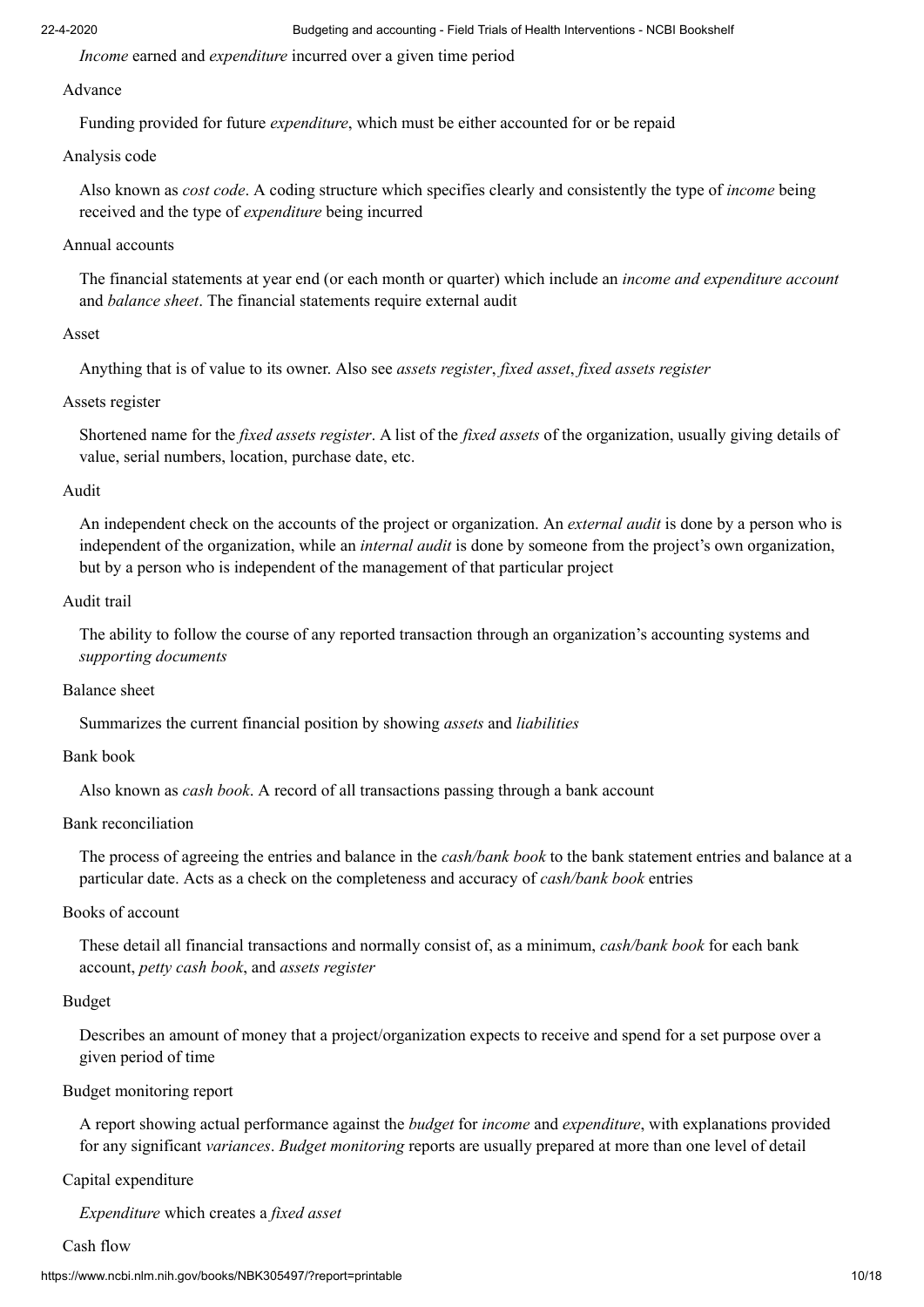*Income* earned and *expenditure* incurred over a given time period

#### Advance

Funding provided for future *expenditure*, which must be either accounted for or be repaid

## Analysis code

Also known as *cost code*. A coding structure which specifies clearly and consistently the type of *income* being received and the type of *expenditure* being incurred

## Annual accounts

The financial statements at year end (or each month or quarter) which include an *income and expenditure account* and *balance sheet*. The financial statements require external audit

# Asset

Anything that is of value to its owner. Also see *assets register*, *fixed asset*, *fixed assets register*

# Assets register

Shortened name for the *fixed assets register*. A list of the *fixed assets* of the organization, usually giving details of value, serial numbers, location, purchase date, etc.

# Audit

An independent check on the accounts of the project or organization. An *external audit* is done by a person who is independent of the organization, while an *internal audit* is done by someone from the project's own organization, but by a person who is independent of the management of that particular project

### Audit trail

The ability to follow the course of any reported transaction through an organization's accounting systems and *supporting documents*

### Balance sheet

Summarizes the current financial position by showing *assets* and *liabilities*

### Bank book

Also known as *cash book*. A record of all transactions passing through a bank account

### Bank reconciliation

The process of agreeing the entries and balance in the *cash/bank book* to the bank statement entries and balance at a particular date. Acts as a check on the completeness and accuracy of *cash/bank book* entries

# Books of account

These detail all financial transactions and normally consist of, as a minimum, *cash/bank book* for each bank account, *petty cash book*, and *assets register*

### Budget

Describes an amount of money that a project/organization expects to receive and spend for a set purpose over a given period of time

# Budget monitoring report

A report showing actual performance against the *budget* for *income* and *expenditure*, with explanations provided for any significant *variances*. *Budget monitoring* reports are usually prepared at more than one level of detail

### Capital expenditure

*Expenditure* which creates a *fixed asset*

### Cash flow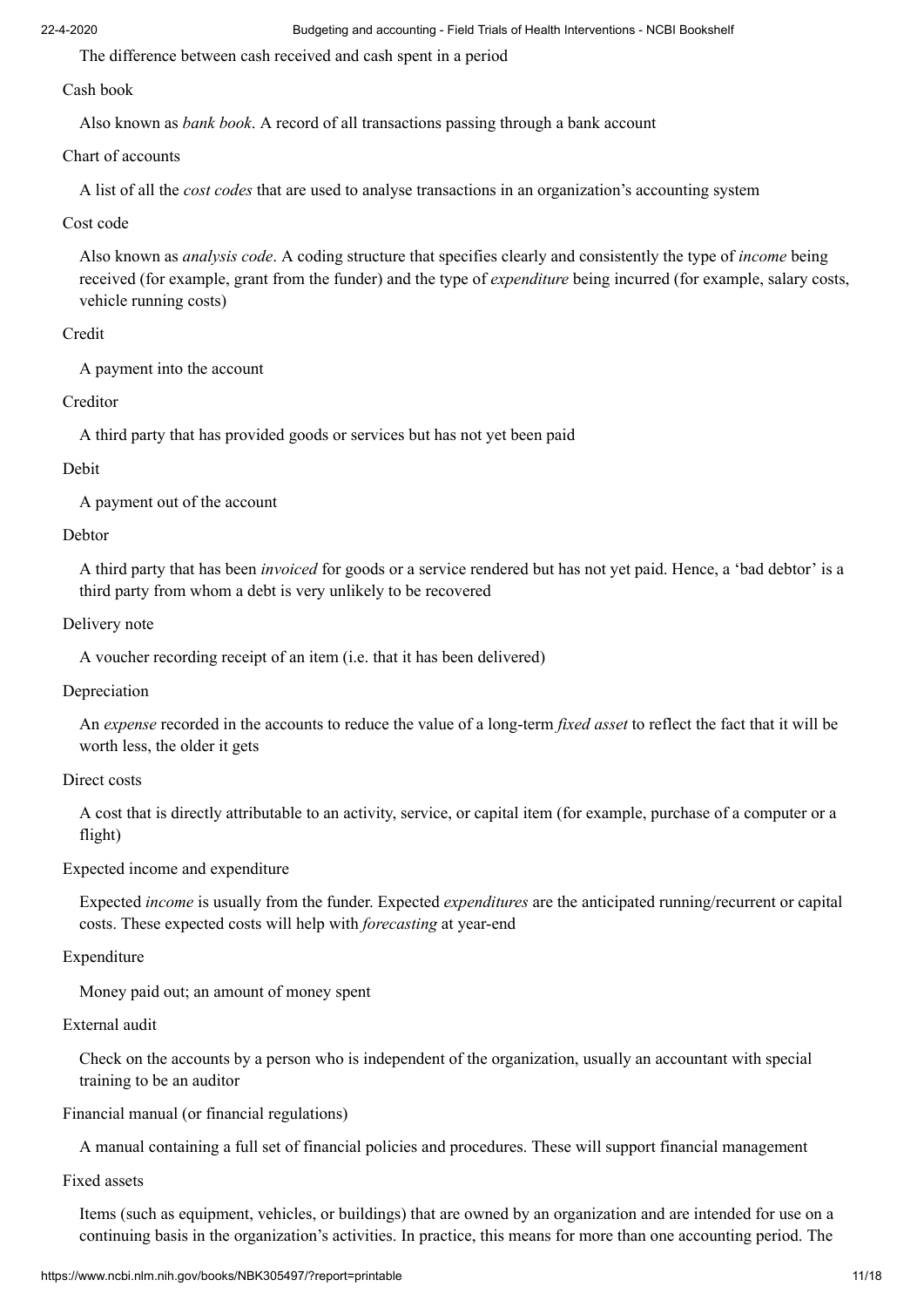The difference between cash received and cash spent in a period

#### Cash book

Also known as *bank book*. A record of all transactions passing through a bank account

#### Chart of accounts

A list of all the *cost codes* that are used to analyse transactions in an organization's accounting system

## Cost code

Also known as *analysis code*. A coding structure that specifies clearly and consistently the type of *income* being received (for example, grant from the funder) and the type of *expenditure* being incurred (for example, salary costs, vehicle running costs)

# Credit

A payment into the account

# Creditor

A third party that has provided goods or services but has not yet been paid

# Debit

A payment out of the account

# Debtor

A third party that has been *invoiced* for goods or a service rendered but has not yet paid. Hence, a 'bad debtor' is a third party from whom a debt is very unlikely to be recovered

# Delivery note

A voucher recording receipt of an item (i.e. that it has been delivered)

### Depreciation

An *expense* recorded in the accounts to reduce the value of a long-term *fixed asset* to reflect the fact that it will be worth less, the older it gets

# Direct costs

A cost that is directly attributable to an activity, service, or capital item (for example, purchase of a computer or a flight)

### Expected income and expenditure

Expected *income* is usually from the funder. Expected *expenditures* are the anticipated running/recurrent or capital costs. These expected costs will help with *forecasting* at year-end

# Expenditure

Money paid out; an amount of money spent

### External audit

Check on the accounts by a person who is independent of the organization, usually an accountant with special training to be an auditor

# Financial manual (or financial regulations)

A manual containing a full set of financial policies and procedures. These will support financial management

### Fixed assets

Items (such as equipment, vehicles, or buildings) that are owned by an organization and are intended for use on a continuing basis in the organization's activities. In practice, this means for more than one accounting period. The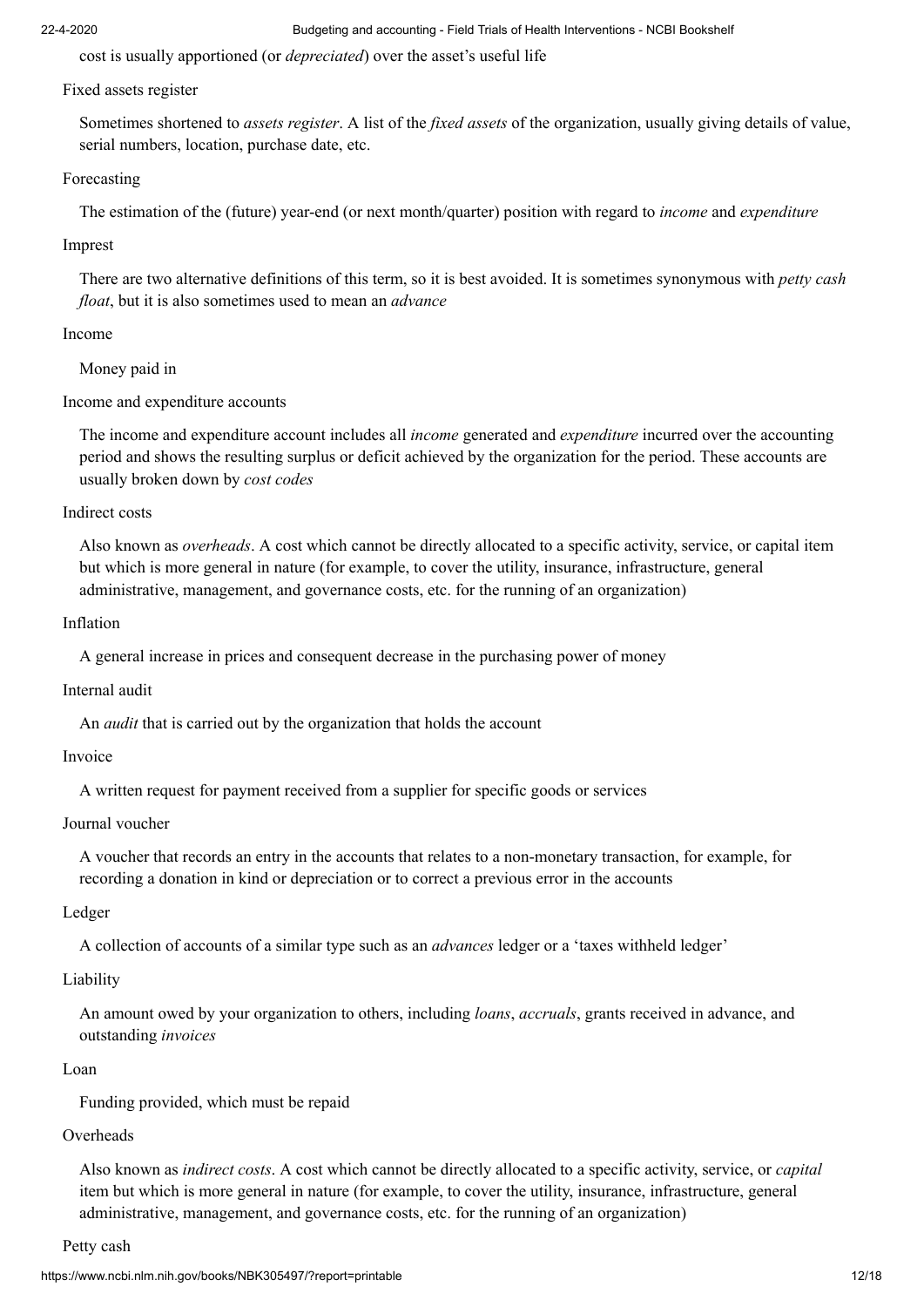cost is usually apportioned (or *depreciated*) over the asset's useful life

# Fixed assets register

Sometimes shortened to *assets register*. A list of the *fixed assets* of the organization, usually giving details of value, serial numbers, location, purchase date, etc.

# Forecasting

The estimation of the (future) year-end (or next month/quarter) position with regard to *income* and *expenditure*

# Imprest

There are two alternative definitions of this term, so it is best avoided. It is sometimes synonymous with *petty cash float*, but it is also sometimes used to mean an *advance*

# Income

Money paid in

Income and expenditure accounts

The income and expenditure account includes all *income* generated and *expenditure* incurred over the accounting period and shows the resulting surplus or deficit achieved by the organization for the period. These accounts are usually broken down by *cost codes*

# Indirect costs

Also known as *overheads*. A cost which cannot be directly allocated to a specific activity, service, or capital item but which is more general in nature (for example, to cover the utility, insurance, infrastructure, general administrative, management, and governance costs, etc. for the running of an organization)

# Inflation

A general increase in prices and consequent decrease in the purchasing power of money

# Internal audit

An *audit* that is carried out by the organization that holds the account

### Invoice

A written request for payment received from a supplier for specific goods or services

# Journal voucher

A voucher that records an entry in the accounts that relates to a non-monetary transaction, for example, for recording a donation in kind or depreciation or to correct a previous error in the accounts

# Ledger

A collection of accounts of a similar type such as an *advances* ledger or a 'taxes withheld ledger'

# Liability

An amount owed by your organization to others, including *loans*, *accruals*, grants received in advance, and outstanding *invoices*

# Loan

Funding provided, which must be repaid

# Overheads

Also known as *indirect costs*. A cost which cannot be directly allocated to a specific activity, service, or *capital* item but which is more general in nature (for example, to cover the utility, insurance, infrastructure, general administrative, management, and governance costs, etc. for the running of an organization)

### Petty cash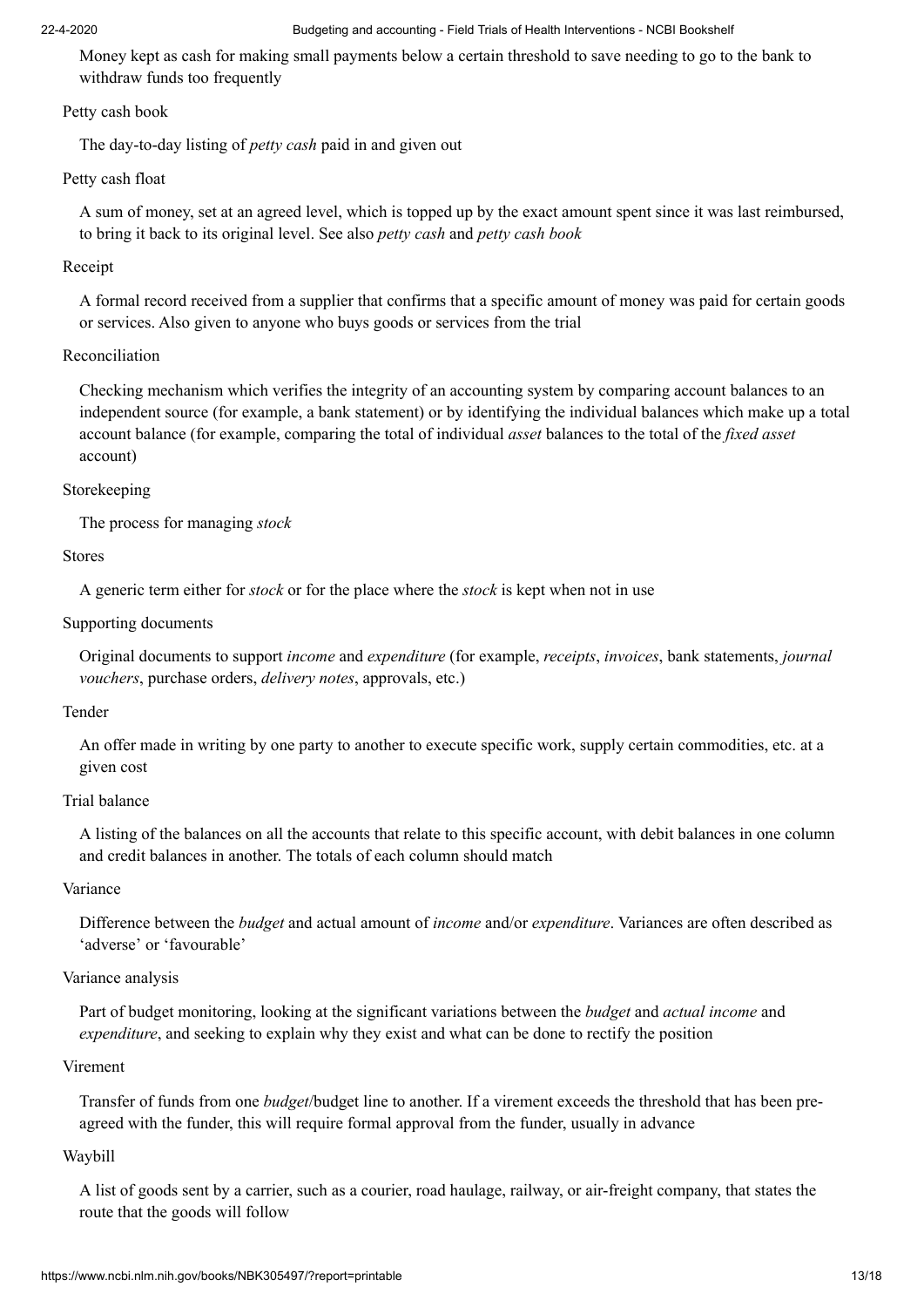Money kept as cash for making small payments below a certain threshold to save needing to go to the bank to withdraw funds too frequently

#### Petty cash book

The day-to-day listing of *petty cash* paid in and given out

#### Petty cash float

A sum of money, set at an agreed level, which is topped up by the exact amount spent since it was last reimbursed, to bring it back to its original level. See also *petty cash* and *petty cash book*

#### Receipt

A formal record received from a supplier that confirms that a specific amount of money was paid for certain goods or services. Also given to anyone who buys goods or services from the trial

#### Reconciliation

Checking mechanism which verifies the integrity of an accounting system by comparing account balances to an independent source (for example, a bank statement) or by identifying the individual balances which make up a total account balance (for example, comparing the total of individual *asset* balances to the total of the *fixed asset* account)

#### Storekeeping

The process for managing *stock*

#### Stores

A generic term either for *stock* or for the place where the *stock* is kept when not in use

#### Supporting documents

Original documents to support *income* and *expenditure* (for example, *receipts*, *invoices*, bank statements, *journal vouchers*, purchase orders, *delivery notes*, approvals, etc.)

#### Tender

An offer made in writing by one party to another to execute specific work, supply certain commodities, etc. at a given cost

#### Trial balance

A listing of the balances on all the accounts that relate to this specific account, with debit balances in one column and credit balances in another. The totals of each column should match

#### Variance

Difference between the *budget* and actual amount of *income* and/or *expenditure*. Variances are often described as 'adverse' or 'favourable'

#### Variance analysis

Part of budget monitoring, looking at the significant variations between the *budget* and *actual income* and *expenditure*, and seeking to explain why they exist and what can be done to rectify the position

#### Virement

Transfer of funds from one *budget*/budget line to another. If a virement exceeds the threshold that has been preagreed with the funder, this will require formal approval from the funder, usually in advance

#### Waybill

A list of goods sent by a carrier, such as a courier, road haulage, railway, or air-freight company, that states the route that the goods will follow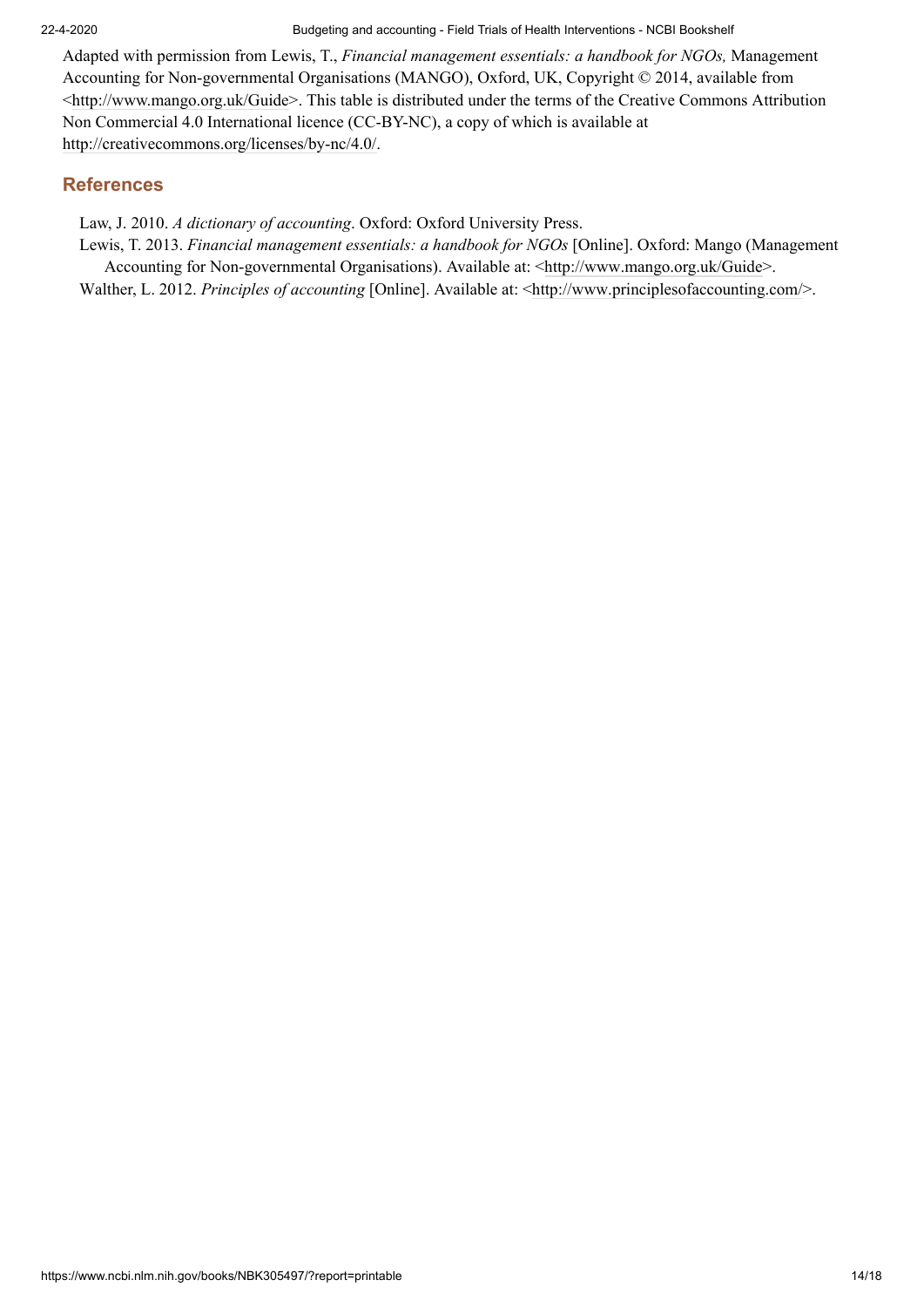Adapted with permission from Lewis, T., *Financial management essentials: a handbook for NGOs,* Management Accounting for Non-governmental Organisations (MANGO), Oxford, UK, Copyright © 2014, available from [<http://www.mango.org.uk/Guide](http://www.mango.org.uk/Guide)>. This table is distributed under the terms of the Creative Commons Attribution Non Commercial 4.0 International licence (CC-BY-NC), a copy of which is available at [http://creativecommons.org/licenses/by-nc/4.0/.](http://creativecommons.org/licenses/by-nc/4.0/)

# **References**

Law, J. 2010. *A dictionary of accounting*. Oxford: Oxford University Press.

Lewis, T. 2013. *Financial management essentials: a handbook for NGOs* [Online]. Oxford: Mango (Management Accounting for Non-governmental Organisations). Available at: <[http://www.mango.org.uk/Guide>](http://www.mango.org.uk/Guide).

Walther, L. 2012. *Principles of accounting* [Online]. Available at: <<http://www.principlesofaccounting.com/>>.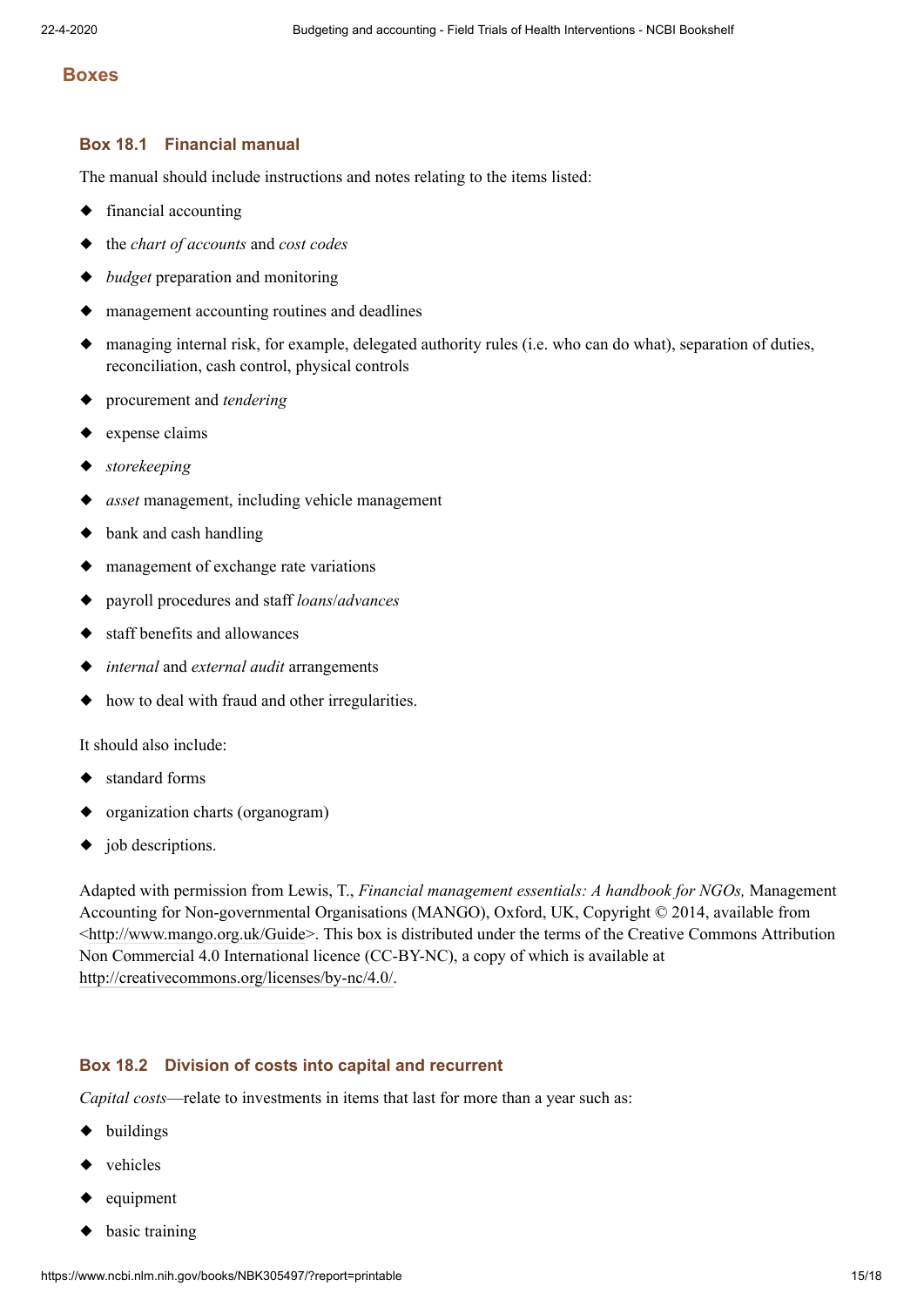#### **Boxes**

#### **Box 18.1 Financial manual**

The manual should include instructions and notes relating to the items listed:

- ◆ financial accounting
- ◆ the *chart of accounts* and *cost codes*
- ◆ *budget* preparation and monitoring
- ◆ management accounting routines and deadlines
- ◆ managing internal risk, for example, delegated authority rules (i.e. who can do what), separation of duties, reconciliation, cash control, physical controls
- ◆ procurement and *tendering*
- ◆ expense claims
- ◆ *storekeeping*
- ◆ *asset* management, including vehicle management
- ◆ bank and cash handling
- ◆ management of exchange rate variations
- ◆ payroll procedures and staff *loans*/*advances*
- ◆ staff benefits and allowances
- ◆ *internal* and *external audit* arrangements
- ◆ how to deal with fraud and other irregularities.

It should also include:

- ◆ standard forms
- ◆ organization charts (organogram)
- ◆ job descriptions.

Adapted with permission from Lewis, T., *Financial management essentials: A handbook for NGOs,* Management Accounting for Non-governmental Organisations (MANGO), Oxford, UK, Copyright © 2014, available from [<http://www.mango.org.uk/Guide>](http://www.mango.org.uk/Guide). This box is distributed under the terms of the Creative Commons Attribution Non Commercial 4.0 International licence (CC-BY-NC), a copy of which is available at [http://creativecommons.org/licenses/by-nc/4.0/.](http://creativecommons.org/licenses/by-nc/4.0/)

#### **Box 18.2 Division of costs into capital and recurrent**

*Capital costs*—relate to investments in items that last for more than a year such as:

- ◆ buildings
- ◆ vehicles
- ◆ equipment
- ◆ basic training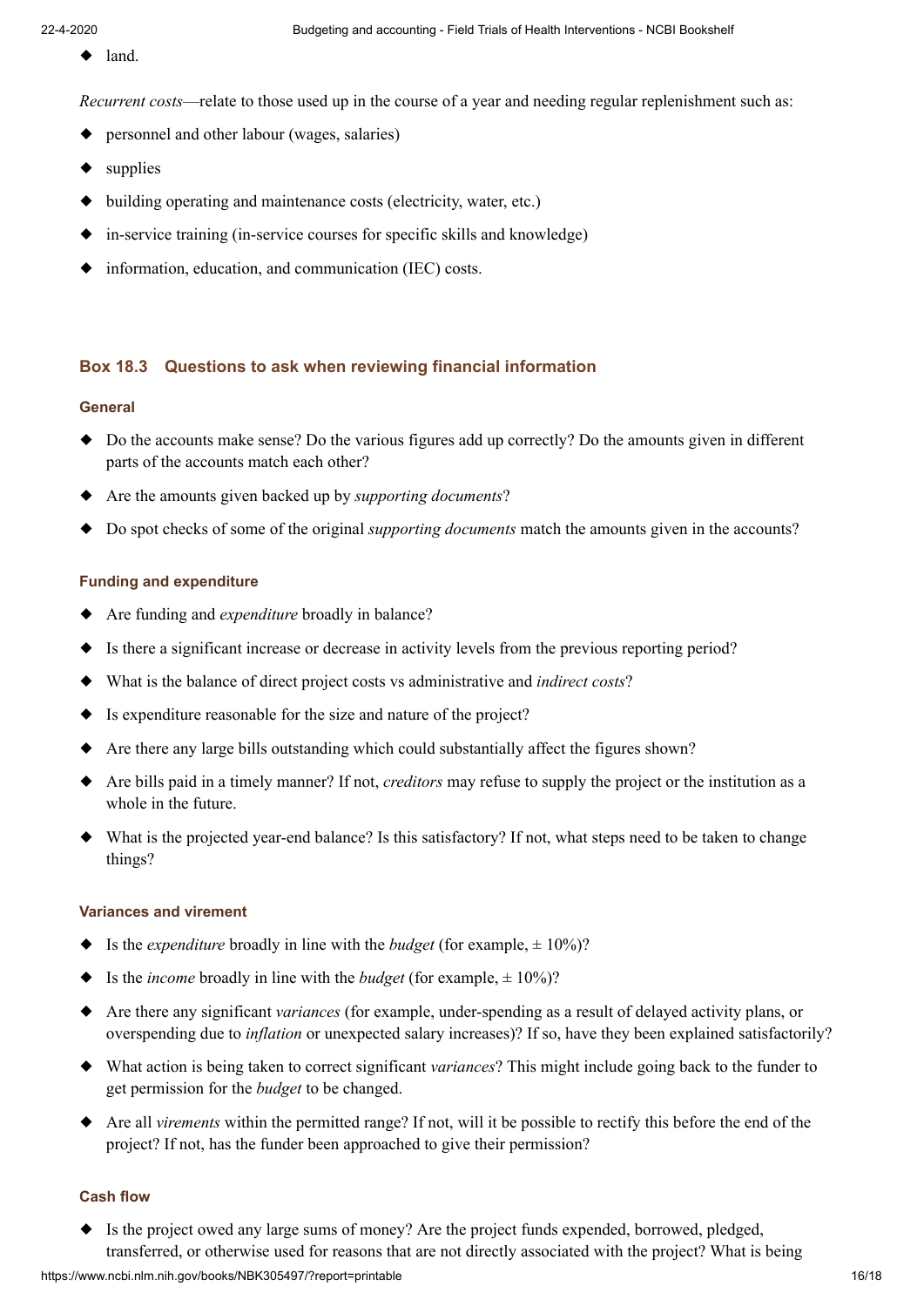◆ land.

*Recurrent costs*—relate to those used up in the course of a year and needing regular replenishment such as:

- ◆ personnel and other labour (wages, salaries)
- ◆ supplies
- ◆ building operating and maintenance costs (electricity, water, etc.)
- ◆ in-service training (in-service courses for specific skills and knowledge)
- ◆ information, education, and communication (IEC) costs.

### **Box 18.3 Questions to ask when reviewing financial information**

#### **General**

- ◆ Do the accounts make sense? Do the various figures add up correctly? Do the amounts given in different parts of the accounts match each other?
- ◆ Are the amounts given backed up by *supporting documents*?
- ◆ Do spot checks of some of the original *supporting documents* match the amounts given in the accounts?

#### **Funding and expenditure**

- ◆ Are funding and *expenditure* broadly in balance?
- ◆ Is there a significant increase or decrease in activity levels from the previous reporting period?
- ◆ What is the balance of direct project costs vs administrative and *indirect costs*?
- ◆ Is expenditure reasonable for the size and nature of the project?
- ◆ Are there any large bills outstanding which could substantially affect the figures shown?
- ◆ Are bills paid in a timely manner? If not, *creditors* may refuse to supply the project or the institution as a whole in the future.
- ◆ What is the projected year-end balance? Is this satisfactory? If not, what steps need to be taken to change things?

#### **Variances and virement**

- ◆ Is the *expenditure* broadly in line with the *budget* (for example,  $\pm 10\%$ )?
- ◆ Is the *income* broadly in line with the *budget* (for example,  $\pm 10\%$ )?
- ◆ Are there any significant *variances* (for example, under-spending as a result of delayed activity plans, or overspending due to *inflation* or unexpected salary increases)? If so, have they been explained satisfactorily?
- ◆ What action is being taken to correct significant *variances*? This might include going back to the funder to get permission for the *budget* to be changed.
- ◆ Are all *virements* within the permitted range? If not, will it be possible to rectify this before the end of the project? If not, has the funder been approached to give their permission?

#### **Cash flow**

◆ Is the project owed any large sums of money? Are the project funds expended, borrowed, pledged, transferred, or otherwise used for reasons that are not directly associated with the project? What is being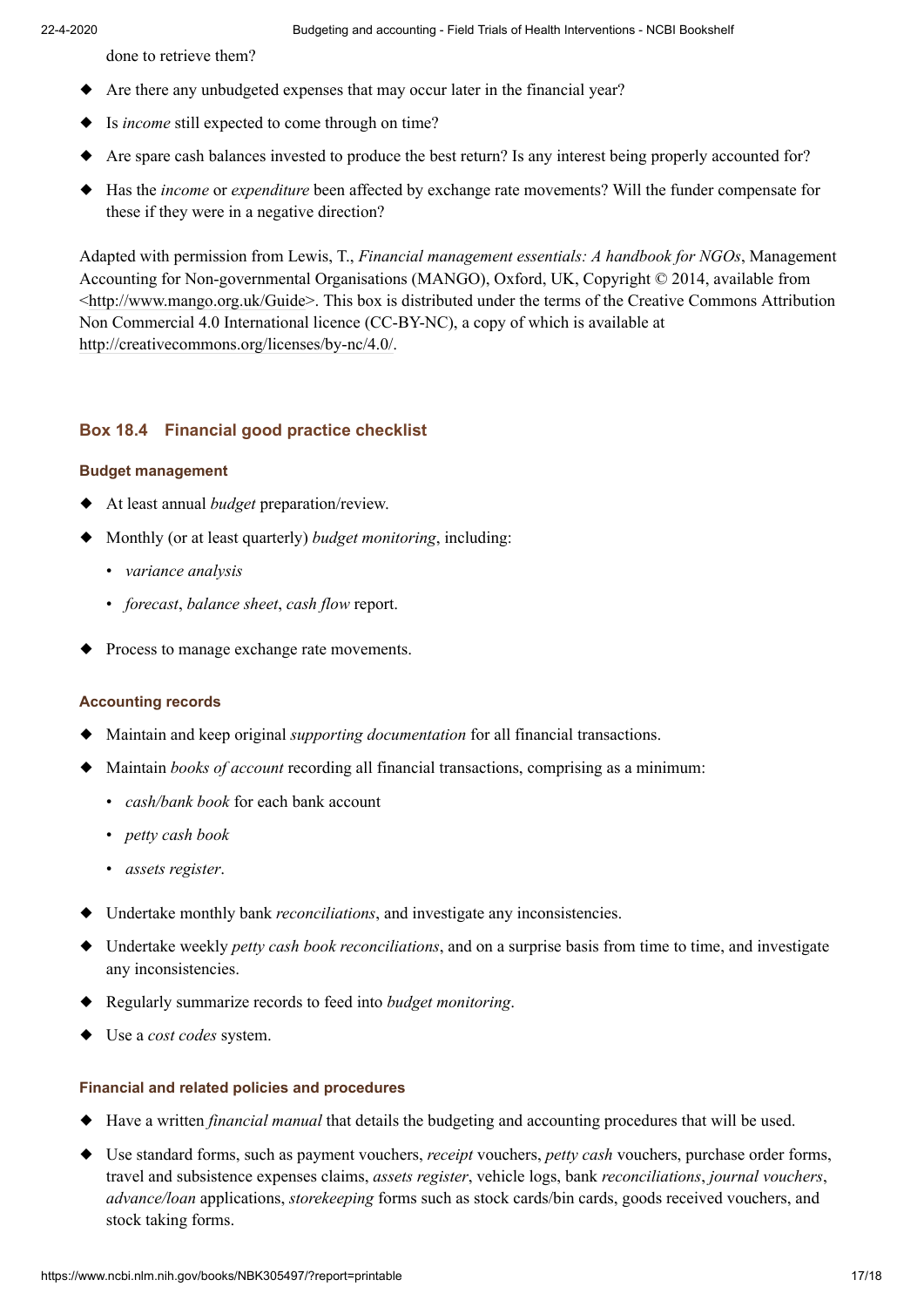done to retrieve them?

- ◆ Are there any unbudgeted expenses that may occur later in the financial year?
- ◆ Is *income* still expected to come through on time?
- ◆ Are spare cash balances invested to produce the best return? Is any interest being properly accounted for?
- ◆ Has the *income* or *expenditure* been affected by exchange rate movements? Will the funder compensate for these if they were in a negative direction?

Adapted with permission from Lewis, T., *Financial management essentials: A handbook for NGOs*, Management Accounting for Non-governmental Organisations (MANGO), Oxford, UK, Copyright © 2014, available from [<http://www.mango.org.uk/Guide>](http://www.mango.org.uk/Guide). This box is distributed under the terms of the Creative Commons Attribution Non Commercial 4.0 International licence (CC-BY-NC), a copy of which is available at [http://creativecommons.org/licenses/by-nc/4.0/.](http://creativecommons.org/licenses/by-nc/4.0/)

# **Box 18.4 Financial good practice checklist**

# **Budget management**

- ◆ At least annual *budget* preparation/review.
- ◆ Monthly (or at least quarterly) *budget monitoring*, including:
	- *variance analysis*
	- *forecast*, *balance sheet*, *cash flow* report.
- ◆ Process to manage exchange rate movements.

### **Accounting records**

- ◆ Maintain and keep original *supporting documentation* for all financial transactions.
- ◆ Maintain *books of account* recording all financial transactions, comprising as a minimum:
	- *cash/bank book* for each bank account
	- *petty cash book*
	- *assets register*.
- ◆ Undertake monthly bank *reconciliations*, and investigate any inconsistencies.
- ◆ Undertake weekly *petty cash book reconciliations*, and on a surprise basis from time to time, and investigate any inconsistencies.
- ◆ Regularly summarize records to feed into *budget monitoring*.
- ◆ Use a *cost codes* system.

# **Financial and related policies and procedures**

- ◆ Have a written *financial manual* that details the budgeting and accounting procedures that will be used.
- ◆ Use standard forms, such as payment vouchers, *receipt* vouchers, *petty cash* vouchers, purchase order forms, travel and subsistence expenses claims, *assets register*, vehicle logs, bank *reconciliations*, *journal vouchers*, *advance/loan* applications, *storekeeping* forms such as stock cards/bin cards, goods received vouchers, and stock taking forms.